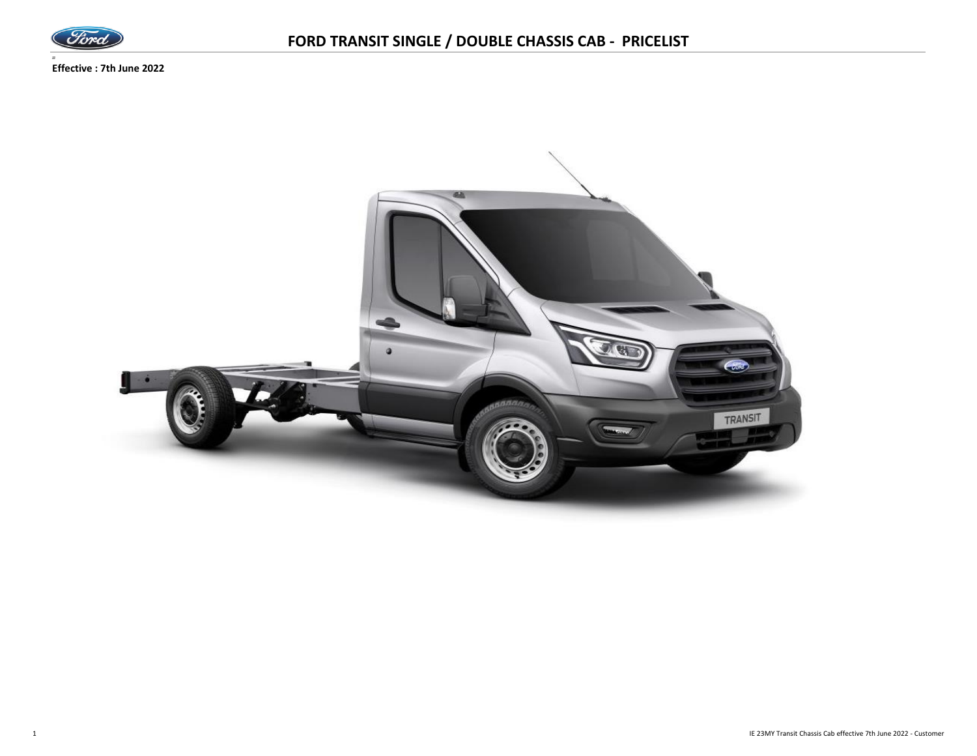

*=* **Effective : 7th June 2022**

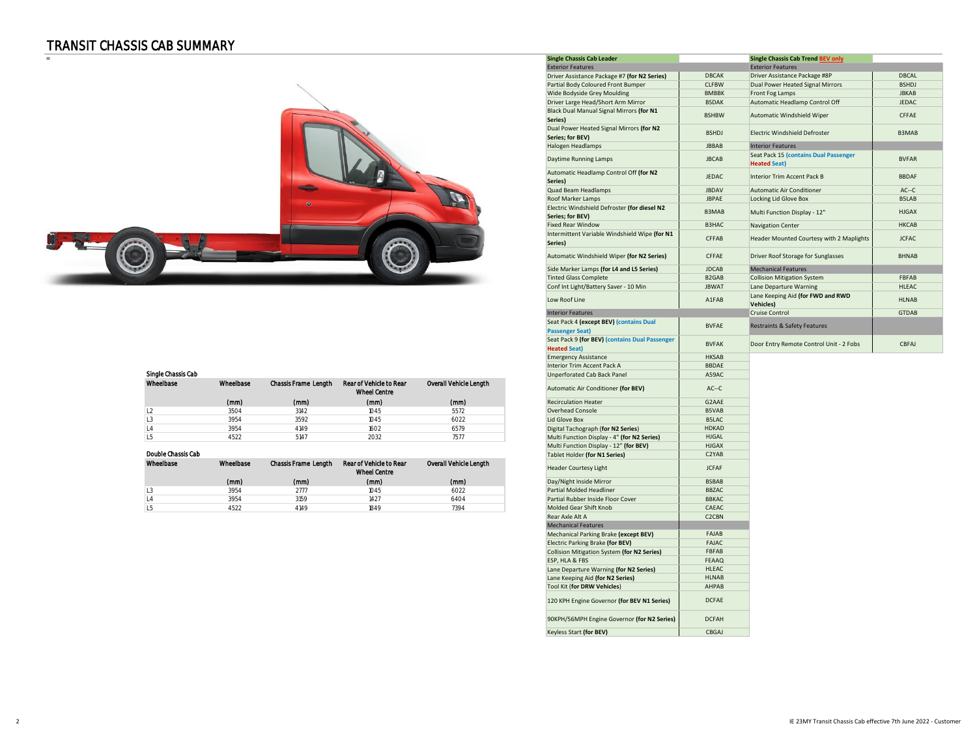### TRANSIT CHASSIS CAB SUMMARY



| Single Chassis Cap |           |                      |                                                |                        |
|--------------------|-----------|----------------------|------------------------------------------------|------------------------|
| Wheelbase          | Wheelbase | Chassis Frame Length | Rear of Vehicle to Rear<br><b>Wheel Centre</b> | Overall Vehicle Length |
|                    | (mm)      | (mm)                 | (mm)                                           | (mm)                   |
|                    | 3504      | 3142                 | 1045                                           | 5572                   |
|                    | 3954      | 3592                 | 1045                                           | 6022                   |
|                    | 3954      | 4149                 | 1602                                           | 6579                   |
|                    | 4522      | 5147                 | 2032                                           | 757                    |
|                    |           |                      |                                                |                        |

#### Double Chassis Cab

| Wheelbase | Wheelbase | <b>Chassis Frame Length</b> | Rear of Vehicle to Rear<br><b>Wheel Centre</b> | Overall Vehicle Length | <b>Header Courtesy Light</b>      | <b>JCFAF</b> |
|-----------|-----------|-----------------------------|------------------------------------------------|------------------------|-----------------------------------|--------------|
|           | (mm)      | (mm)                        | (mm)                                           | (mm)                   | Day/Night Inside Mirror           | <b>BSBAB</b> |
| LJ        | 3954      | 2777                        | 1045                                           | 6022                   | Partial Molded Headliner          | <b>BBZAC</b> |
| L4        | 3954      | 3159                        | 1427                                           | 6404                   | Partial Rubber Inside Floor Cover | <b>BBKAC</b> |
| Lb        | 4522      | 4149                        | 1849                                           | 7394                   | Molded Gear Shift Knob            | CAEAC        |

|                |                    |           |                             |                                                |                        | <b>Single Chassis Cab Leader</b>                                               |                              | <b>Single Chassis Cab Trend BEV only</b>                     |                       |
|----------------|--------------------|-----------|-----------------------------|------------------------------------------------|------------------------|--------------------------------------------------------------------------------|------------------------------|--------------------------------------------------------------|-----------------------|
|                |                    |           |                             |                                                |                        | <b>Exterior Features</b>                                                       |                              | <b>Exterior Features</b>                                     |                       |
|                |                    |           |                             |                                                |                        | Driver Assistance Package #7 (for N2 Series)                                   | <b>DBCAK</b>                 | Driver Assistance Package #8P                                | <b>DBCAL</b>          |
|                |                    |           |                             |                                                |                        | Partial Body Coloured Front Bumper                                             | <b>CLFBW</b>                 | Dual Power Heated Signal Mirrors                             | <b>BSHDJ</b>          |
|                |                    |           |                             |                                                |                        | Wide Bodyside Grey Moulding                                                    | <b>BMBBK</b>                 | Front Fog Lamps                                              | <b>JBKAB</b>          |
|                |                    |           |                             |                                                |                        | Driver Large Head/Short Arm Mirror<br>Black Dual Manual Signal Mirrors (for N1 | <b>BSDAK</b><br><b>BSHBW</b> | Automatic Headlamp Control Off<br>Automatic Windshield Wiper | <b>JEDAC</b><br>CFFAE |
|                |                    |           |                             |                                                |                        | Series)<br>Dual Power Heated Signal Mirrors (for N2                            |                              |                                                              |                       |
|                |                    |           |                             |                                                |                        | Series; for BEV)                                                               | <b>BSHDJ</b>                 | Electric Windshield Defroster                                | B3MAB                 |
|                |                    |           |                             |                                                |                        | Halogen Headlamps                                                              | <b>JBBAB</b>                 | <b>Interior Features</b>                                     |                       |
|                |                    |           |                             |                                                |                        | Daytime Running Lamps                                                          | <b>JBCAB</b>                 | Seat Pack 15 (contains Dual Passenger<br><b>Heated Seat)</b> | <b>BVFAR</b>          |
|                |                    |           |                             |                                                |                        | Automatic Headlamp Control Off (for N2<br>Series)                              | <b>JEDAC</b>                 | Interior Trim Accent Pack B                                  | <b>BBDAF</b>          |
|                |                    |           |                             |                                                |                        | Quad Beam Headlamps                                                            | <b>JBDAV</b>                 | Automatic Air Conditioner                                    | $AC-C$                |
|                |                    |           |                             |                                                |                        | Roof Marker Lamps                                                              | <b>JBPAE</b>                 | Locking Lid Glove Box                                        | B5LAB                 |
|                |                    |           |                             |                                                |                        | Electric Windshield Defroster (for diesel N2<br>Series; for BEV)               | B3MAB                        | Multi Function Display - 12"                                 | <b>HJGAX</b>          |
|                |                    |           |                             |                                                |                        | <b>Fixed Rear Window</b>                                                       | B3HAC                        | Navigation Center                                            | <b>HKCAB</b>          |
|                |                    |           |                             |                                                |                        | Intermittent Variable Windshield Wipe (for N1<br>Series)                       | CFFAB                        | Header Mounted Courtesy with 2 Maplights                     | <b>JCFAC</b>          |
|                |                    |           |                             |                                                |                        | Automatic Windshield Wiper (for N2 Series)                                     | CFFAE                        | Driver Roof Storage for Sunglasses                           | <b>BHNAB</b>          |
|                |                    |           |                             |                                                |                        | Side Marker Lamps (for L4 and L5 Series)                                       | <b>JDCAB</b>                 | <b>Mechanical Features</b>                                   |                       |
|                |                    |           |                             |                                                |                        | <b>Tinted Glass Complete</b>                                                   | B <sub>2</sub> GAB           | Collision Mitigation System                                  | FBFAB                 |
|                |                    |           |                             |                                                |                        | Conf Int Light/Battery Saver - 10 Min                                          | <b>JBWAT</b>                 | Lane Departure Warning                                       | HLEAC                 |
|                |                    |           |                             |                                                |                        | Low Roof Line                                                                  | A1FAB                        | Lane Keeping Aid (for FWD and RWD<br>Vehicles)               | <b>HLNAB</b>          |
|                |                    |           |                             |                                                |                        | <b>Interior Features</b>                                                       |                              | <b>Cruise Control</b>                                        | <b>GTDAB</b>          |
|                |                    |           |                             |                                                |                        | Seat Pack 4 (except BEV) (contains Dual                                        |                              |                                                              |                       |
|                |                    |           |                             |                                                |                        | <b>Passenger Seat)</b>                                                         | <b>BVFAE</b>                 | Restraints & Safety Features                                 |                       |
|                |                    |           |                             |                                                |                        | Seat Pack 9 (for BEV) (contains Dual Passenger<br><b>Heated Seat)</b>          | <b>BVFAK</b>                 | Door Entry Remote Control Unit - 2 Fobs                      | CBFAJ                 |
|                |                    |           |                             |                                                |                        | <b>Emergency Assistance</b>                                                    | <b>HKSAB</b>                 |                                                              |                       |
|                |                    |           |                             |                                                |                        | Interior Trim Accent Pack A                                                    | <b>BBDAE</b>                 |                                                              |                       |
|                | Single Chassis Cab |           |                             |                                                |                        | <b>Unperforated Cab Back Panel</b>                                             | A59AC                        |                                                              |                       |
|                | Wheelbase          | Wheelbase | Chassis Frame Length        | Rear of Vehicle to Rear<br><b>Wheel Centre</b> | Overall Vehicle Length | Automatic Air Conditioner (for BEV)                                            | $AC-C$                       |                                                              |                       |
|                |                    | (mm)      | (mm)                        | (mm)                                           | (mm)                   | <b>Recirculation Heater</b>                                                    | G2AAE                        |                                                              |                       |
| L2             |                    | 3504      | 3142                        | 1045                                           | 5572                   | Overhead Console                                                               | <b>B5VAB</b>                 |                                                              |                       |
| L <sub>3</sub> |                    | 3954      | 3592                        | 1045                                           | 6022                   | Lid Glove Box                                                                  | <b>B5LAC</b>                 |                                                              |                       |
| L4             |                    | 3954      | 4149                        | 1602                                           | 6579                   | Digital Tachograph (for N2 Series)                                             | <b>HDKAD</b>                 |                                                              |                       |
| L <sub>5</sub> |                    | 4522      | 5147                        | 2032                                           | 7577                   | Multi Function Display - 4" (for N2 Series)                                    | <b>HJGAL</b>                 |                                                              |                       |
|                |                    |           |                             |                                                |                        | Multi Function Display - 12" (for BEV)                                         | <b>HJGAX</b>                 |                                                              |                       |
|                | Double Chassis Cab |           |                             |                                                |                        | Tablet Holder (for N1 Series)                                                  | C2YAB                        |                                                              |                       |
|                | Wheelbase          | Wheelbase | <b>Chassis Frame Length</b> | Rear of Vehicle to Rear<br><b>Wheel Centre</b> | Overall Vehicle Length | <b>Header Courtesy Light</b>                                                   | <b>JCFAF</b>                 |                                                              |                       |
|                |                    | (mm)      | (mm)                        | (mm)                                           | (mm)                   | Day/Night Inside Mirror                                                        | <b>BSBAB</b>                 |                                                              |                       |
| L <sub>3</sub> |                    | 3954      | 2777                        | 1045                                           | 6022                   | <b>Partial Molded Headliner</b>                                                | <b>BBZAC</b>                 |                                                              |                       |
| L4             |                    | 3954      | 3159                        | 1427                                           | 6404                   | Partial Rubber Inside Floor Cover                                              | <b>BBKAC</b>                 |                                                              |                       |
| L <sub>5</sub> |                    | 4522      | 4149                        | 1849                                           | 7394                   | Molded Gear Shift Knob                                                         | CAEAC                        |                                                              |                       |
|                |                    |           |                             |                                                |                        | Rear Axle Alt A                                                                | C <sub>2</sub> CBN           |                                                              |                       |
|                |                    |           |                             |                                                |                        | <b>Mechanical Features</b>                                                     |                              |                                                              |                       |
|                |                    |           |                             |                                                |                        | Mechanical Parking Brake (except BEV)                                          | FAJAB                        |                                                              |                       |
|                |                    |           |                             |                                                |                        | Electric Parking Brake (for BEV)                                               | <b>FAJAC</b>                 |                                                              |                       |
|                |                    |           |                             |                                                |                        | Collision Mitigation System (for N2 Series)                                    | FBFAB                        |                                                              |                       |
|                |                    |           |                             |                                                |                        | ESP, HLA & FBS                                                                 | <b>FEAAQ</b>                 |                                                              |                       |
|                |                    |           |                             |                                                |                        | Lane Departure Warning (for N2 Series)                                         | HLEAC                        |                                                              |                       |
|                |                    |           |                             |                                                |                        | Lane Keeping Aid (for N2 Series)                                               | <b>HLNAB</b>                 |                                                              |                       |
|                |                    |           |                             |                                                |                        | Tool Kit (for DRW Vehicles)                                                    | AHPAB                        |                                                              |                       |
|                |                    |           |                             |                                                |                        |                                                                                |                              |                                                              |                       |
|                |                    |           |                             |                                                |                        | 120 KPH Engine Governor (for BEV N1 Series)                                    | <b>DCFAE</b>                 |                                                              |                       |
|                |                    |           |                             |                                                |                        | 90KPH/56MPH Engine Governor (for N2 Series)<br><b>Keyless Start (for BEV)</b>  | <b>DCFAH</b><br>CBGAJ        |                                                              |                       |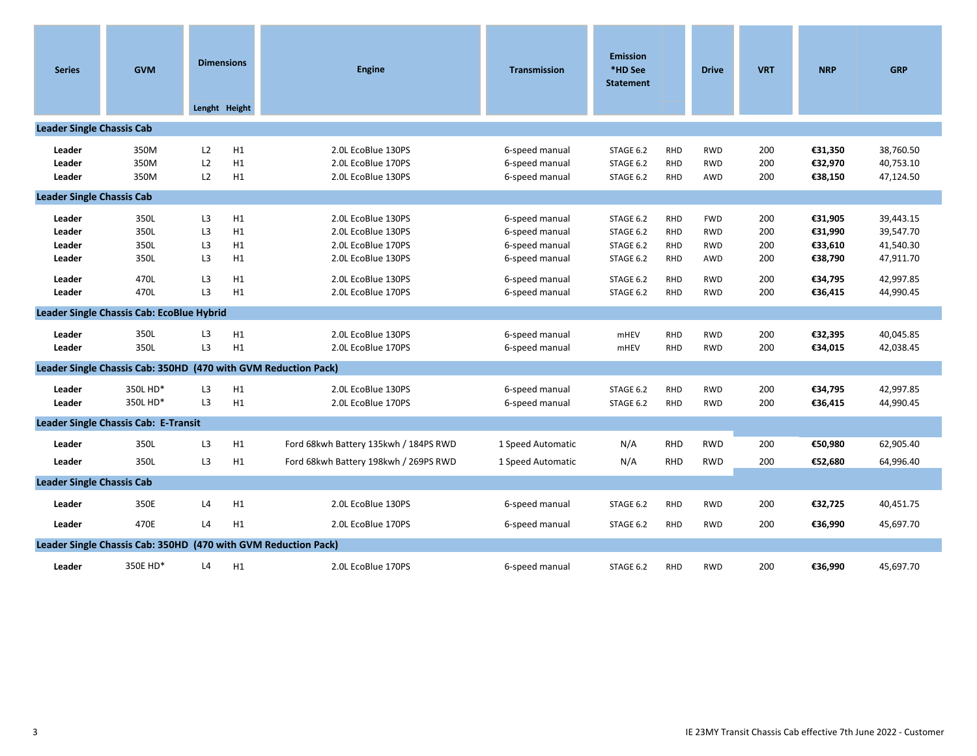| <b>Series</b>                                            | <b>GVM</b>                                                     | <b>Dimensions</b>                                                                            | Lenght Height                    | <b>Engine</b>                                                                                                                    | <b>Transmission</b>                                                                                      | <b>Emission</b><br>*HD See<br><b>Statement</b>                             |                                                                                  | <b>Drive</b>                                                              | <b>VRT</b>                             | <b>NRP</b>                                                     | <b>GRP</b>                                                                 |
|----------------------------------------------------------|----------------------------------------------------------------|----------------------------------------------------------------------------------------------|----------------------------------|----------------------------------------------------------------------------------------------------------------------------------|----------------------------------------------------------------------------------------------------------|----------------------------------------------------------------------------|----------------------------------------------------------------------------------|---------------------------------------------------------------------------|----------------------------------------|----------------------------------------------------------------|----------------------------------------------------------------------------|
| <b>Leader Single Chassis Cab</b>                         |                                                                |                                                                                              |                                  |                                                                                                                                  |                                                                                                          |                                                                            |                                                                                  |                                                                           |                                        |                                                                |                                                                            |
| Leader<br>Leader<br>Leader                               | 350M<br>350M<br>350M                                           | L2<br>L2<br>L2                                                                               | H1<br>H1<br>H1                   | 2.0L EcoBlue 130PS<br>2.0L EcoBlue 170PS<br>2.0L EcoBlue 130PS                                                                   | 6-speed manual<br>6-speed manual<br>6-speed manual                                                       | STAGE 6.2<br>STAGE 6.2<br>STAGE 6.2                                        | <b>RHD</b><br><b>RHD</b><br><b>RHD</b>                                           | <b>RWD</b><br><b>RWD</b><br>AWD                                           | 200<br>200<br>200                      | €31,350<br>€32,970<br>€38,150                                  | 38,760.50<br>40,753.10<br>47,124.50                                        |
| <b>Leader Single Chassis Cab</b>                         |                                                                |                                                                                              |                                  |                                                                                                                                  |                                                                                                          |                                                                            |                                                                                  |                                                                           |                                        |                                                                |                                                                            |
| Leader<br>Leader<br>Leader<br>Leader<br>Leader<br>Leader | 350L<br>350L<br>350L<br>350L<br>470L<br>470L                   | L <sub>3</sub><br>L <sub>3</sub><br>L3<br>L <sub>3</sub><br>L <sub>3</sub><br>L <sub>3</sub> | H1<br>H1<br>H1<br>H1<br>H1<br>H1 | 2.0L EcoBlue 130PS<br>2.0L EcoBlue 130PS<br>2.0L EcoBlue 170PS<br>2.0L EcoBlue 130PS<br>2.0L EcoBlue 130PS<br>2.0L EcoBlue 170PS | 6-speed manual<br>6-speed manual<br>6-speed manual<br>6-speed manual<br>6-speed manual<br>6-speed manual | STAGE 6.2<br>STAGE 6.2<br>STAGE 6.2<br>STAGE 6.2<br>STAGE 6.2<br>STAGE 6.2 | <b>RHD</b><br><b>RHD</b><br><b>RHD</b><br><b>RHD</b><br><b>RHD</b><br><b>RHD</b> | <b>FWD</b><br><b>RWD</b><br><b>RWD</b><br>AWD<br><b>RWD</b><br><b>RWD</b> | 200<br>200<br>200<br>200<br>200<br>200 | €31,905<br>€31,990<br>€33,610<br>€38,790<br>€34,795<br>€36,415 | 39,443.15<br>39,547.70<br>41,540.30<br>47,911.70<br>42,997.85<br>44,990.45 |
|                                                          | Leader Single Chassis Cab: EcoBlue Hybrid                      |                                                                                              |                                  |                                                                                                                                  |                                                                                                          |                                                                            |                                                                                  |                                                                           |                                        |                                                                |                                                                            |
| Leader<br>Leader                                         | 350L<br>350L                                                   | L3<br>L3                                                                                     | H1<br>H1                         | 2.0L EcoBlue 130PS<br>2.0L EcoBlue 170PS                                                                                         | 6-speed manual<br>6-speed manual                                                                         | <b>mHEV</b><br><b>mHEV</b>                                                 | <b>RHD</b><br><b>RHD</b>                                                         | <b>RWD</b><br><b>RWD</b>                                                  | 200<br>200                             | €32,395<br>€34,015                                             | 40,045.85<br>42,038.45                                                     |
|                                                          | Leader Single Chassis Cab: 350HD (470 with GVM Reduction Pack) |                                                                                              |                                  |                                                                                                                                  |                                                                                                          |                                                                            |                                                                                  |                                                                           |                                        |                                                                |                                                                            |
| Leader<br>Leader                                         | 350L HD*<br>350L HD*                                           | L <sub>3</sub><br>L <sub>3</sub>                                                             | H1<br>H1                         | 2.0L EcoBlue 130PS<br>2.0L EcoBlue 170PS                                                                                         | 6-speed manual<br>6-speed manual                                                                         | STAGE 6.2<br>STAGE 6.2                                                     | <b>RHD</b><br><b>RHD</b>                                                         | <b>RWD</b><br><b>RWD</b>                                                  | 200<br>200                             | €34,795<br>€36,415                                             | 42,997.85<br>44,990.45                                                     |
|                                                          | Leader Single Chassis Cab: E-Transit                           |                                                                                              |                                  |                                                                                                                                  |                                                                                                          |                                                                            |                                                                                  |                                                                           |                                        |                                                                |                                                                            |
| Leader<br>Leader                                         | 350L<br>350L                                                   | L <sub>3</sub><br>L <sub>3</sub>                                                             | H1<br>H1                         | Ford 68kwh Battery 135kwh / 184PS RWD<br>Ford 68kwh Battery 198kwh / 269PS RWD                                                   | 1 Speed Automatic<br>1 Speed Automatic                                                                   | N/A<br>N/A                                                                 | <b>RHD</b><br><b>RHD</b>                                                         | <b>RWD</b><br><b>RWD</b>                                                  | 200<br>200                             | €50,980<br>€52,680                                             | 62,905.40<br>64,996.40                                                     |
| <b>Leader Single Chassis Cab</b>                         |                                                                |                                                                                              |                                  |                                                                                                                                  |                                                                                                          |                                                                            |                                                                                  |                                                                           |                                        |                                                                |                                                                            |
| Leader<br>Leader                                         | 350E<br>470E                                                   | L4<br>L4                                                                                     | H1<br>H1                         | 2.0L EcoBlue 130PS<br>2.0L EcoBlue 170PS                                                                                         | 6-speed manual<br>6-speed manual                                                                         | STAGE 6.2<br>STAGE 6.2                                                     | <b>RHD</b><br><b>RHD</b>                                                         | <b>RWD</b><br><b>RWD</b>                                                  | 200<br>200                             | €32,725<br>€36,990                                             | 40,451.75<br>45,697.70                                                     |
|                                                          | Leader Single Chassis Cab: 350HD (470 with GVM Reduction Pack) |                                                                                              |                                  |                                                                                                                                  |                                                                                                          |                                                                            |                                                                                  |                                                                           |                                        |                                                                |                                                                            |
| Leader                                                   | 350E HD*                                                       | L4                                                                                           | H1                               | 2.0L EcoBlue 170PS                                                                                                               | 6-speed manual                                                                                           | STAGE 6.2                                                                  | <b>RHD</b>                                                                       | <b>RWD</b>                                                                | 200                                    | €36,990                                                        | 45,697.70                                                                  |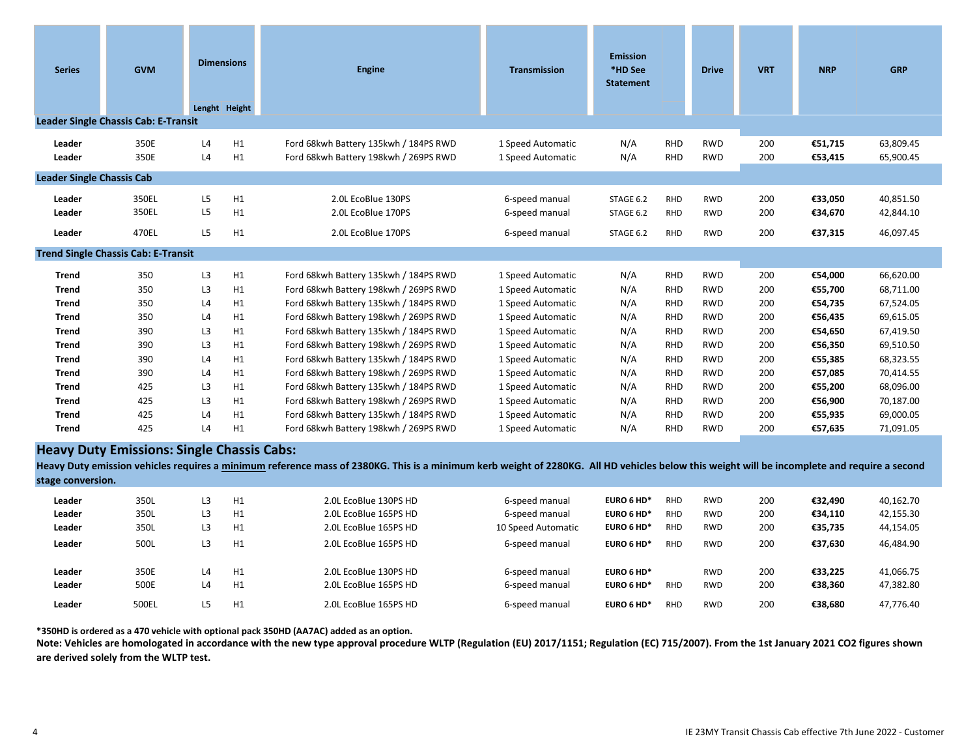| <b>Series</b>                    | <b>GVM</b>                                                                                                                                                                                                                                        | <b>Dimensions</b><br>Lenght Height |          |                                                                                |                                        |                        |                          | <b>Engine</b>            | <b>Transmission</b> | <b>Emission</b><br>*HD See<br><b>Statement</b> |                        | <b>Drive</b> | <b>VRT</b> | <b>NRP</b> | <b>GRP</b> |
|----------------------------------|---------------------------------------------------------------------------------------------------------------------------------------------------------------------------------------------------------------------------------------------------|------------------------------------|----------|--------------------------------------------------------------------------------|----------------------------------------|------------------------|--------------------------|--------------------------|---------------------|------------------------------------------------|------------------------|--------------|------------|------------|------------|
|                                  | <b>Leader Single Chassis Cab: E-Transit</b>                                                                                                                                                                                                       |                                    |          |                                                                                |                                        |                        |                          |                          |                     |                                                |                        |              |            |            |            |
| Leader<br>Leader                 | 350E<br>350E                                                                                                                                                                                                                                      | L4<br>L4                           | H1<br>H1 | Ford 68kwh Battery 135kwh / 184PS RWD<br>Ford 68kwh Battery 198kwh / 269PS RWD | 1 Speed Automatic<br>1 Speed Automatic | N/A<br>N/A             | <b>RHD</b><br>RHD        | <b>RWD</b><br><b>RWD</b> | 200<br>200          | €51,715<br>€53,415                             | 63,809.45<br>65,900.45 |              |            |            |            |
| <b>Leader Single Chassis Cab</b> |                                                                                                                                                                                                                                                   |                                    |          |                                                                                |                                        |                        |                          |                          |                     |                                                |                        |              |            |            |            |
| Leader<br>Leader                 | 350EL<br>350EL                                                                                                                                                                                                                                    | L <sub>5</sub><br>L <sub>5</sub>   | H1<br>H1 | 2.0L EcoBlue 130PS<br>2.0L EcoBlue 170PS                                       | 6-speed manual<br>6-speed manual       | STAGE 6.2<br>STAGE 6.2 | RHD<br>RHD               | <b>RWD</b><br><b>RWD</b> | 200<br>200          | €33,050<br>€34,670                             | 40,851.50<br>42,844.10 |              |            |            |            |
| Leader                           | 470EL                                                                                                                                                                                                                                             | L <sub>5</sub>                     | H1       | 2.0L EcoBlue 170PS                                                             | 6-speed manual                         | STAGE 6.2              | <b>RHD</b>               | <b>RWD</b>               | 200                 | €37,315                                        | 46,097.45              |              |            |            |            |
|                                  | <b>Trend Single Chassis Cab: E-Transit</b>                                                                                                                                                                                                        |                                    |          |                                                                                |                                        |                        |                          |                          |                     |                                                |                        |              |            |            |            |
| <b>Trend</b><br><b>Trend</b>     | 350<br>350                                                                                                                                                                                                                                        | L <sub>3</sub><br>L <sub>3</sub>   | H1<br>H1 | Ford 68kwh Battery 135kwh / 184PS RWD<br>Ford 68kwh Battery 198kwh / 269PS RWD | 1 Speed Automatic<br>1 Speed Automatic | N/A<br>N/A             | <b>RHD</b><br><b>RHD</b> | <b>RWD</b><br><b>RWD</b> | 200<br>200          | €54,000<br>€55,700                             | 66,620.00<br>68,711.00 |              |            |            |            |
| <b>Trend</b>                     | 350                                                                                                                                                                                                                                               | L4                                 | H1       | Ford 68kwh Battery 135kwh / 184PS RWD                                          | 1 Speed Automatic                      | N/A                    | <b>RHD</b>               | <b>RWD</b>               | 200                 | €54,735                                        | 67,524.05              |              |            |            |            |
| <b>Trend</b>                     | 350                                                                                                                                                                                                                                               | L4                                 | H1       | Ford 68kwh Battery 198kwh / 269PS RWD                                          | 1 Speed Automatic                      | N/A                    | <b>RHD</b>               | <b>RWD</b>               | 200                 | €56,435                                        | 69,615.05              |              |            |            |            |
| <b>Trend</b>                     | 390                                                                                                                                                                                                                                               | L <sub>3</sub>                     | H1       | Ford 68kwh Battery 135kwh / 184PS RWD                                          | 1 Speed Automatic                      | N/A                    | RHD                      | <b>RWD</b>               | 200                 | €54,650                                        | 67,419.50              |              |            |            |            |
| <b>Trend</b>                     | 390                                                                                                                                                                                                                                               | L3                                 | H1       | Ford 68kwh Battery 198kwh / 269PS RWD                                          | 1 Speed Automatic                      | N/A                    | <b>RHD</b>               | <b>RWD</b>               | 200                 | €56,350                                        | 69,510.50              |              |            |            |            |
| <b>Trend</b>                     | 390                                                                                                                                                                                                                                               | L4                                 | H1       | Ford 68kwh Battery 135kwh / 184PS RWD                                          | 1 Speed Automatic                      | N/A                    | <b>RHD</b>               | <b>RWD</b>               | 200                 | €55,385                                        | 68,323.55              |              |            |            |            |
| <b>Trend</b>                     | 390                                                                                                                                                                                                                                               | L4                                 | H1       | Ford 68kwh Battery 198kwh / 269PS RWD                                          | 1 Speed Automatic                      | N/A                    | <b>RHD</b>               | <b>RWD</b>               | 200                 | €57,085                                        | 70,414.55              |              |            |            |            |
| <b>Trend</b>                     | 425                                                                                                                                                                                                                                               | L3                                 | H1       | Ford 68kwh Battery 135kwh / 184PS RWD                                          | 1 Speed Automatic                      | N/A                    | <b>RHD</b>               | <b>RWD</b>               | 200                 | €55,200                                        | 68,096.00              |              |            |            |            |
| <b>Trend</b>                     | 425                                                                                                                                                                                                                                               | L3                                 | H1       | Ford 68kwh Battery 198kwh / 269PS RWD                                          | 1 Speed Automatic                      | N/A                    | <b>RHD</b>               | <b>RWD</b>               | 200                 | €56,900                                        | 70,187.00              |              |            |            |            |
| <b>Trend</b>                     | 425                                                                                                                                                                                                                                               | L4                                 | H1       | Ford 68kwh Battery 135kwh / 184PS RWD                                          | 1 Speed Automatic                      | N/A                    | <b>RHD</b>               | <b>RWD</b>               | 200                 | €55,935                                        | 69,000.05              |              |            |            |            |
| <b>Trend</b>                     | 425                                                                                                                                                                                                                                               | L4                                 | H1       | Ford 68kwh Battery 198kwh / 269PS RWD                                          | 1 Speed Automatic                      | N/A                    | <b>RHD</b>               | <b>RWD</b>               | 200                 | €57,635                                        | 71,091.05              |              |            |            |            |
|                                  | <b>Heavy Duty Emissions: Single Chassis Cabs:</b><br>Heavy Duty emission vehicles requires a minimum reference mass of 2380KG. This is a minimum kerb weight of 2280KG. All HD vehicles below this weight will be incomplete and require a second |                                    |          |                                                                                |                                        |                        |                          |                          |                     |                                                |                        |              |            |            |            |

| Heavy Duty emission vehicles requires a minimum reference mass of 2380KG. This is a minimum kerb weight of 2280KG. All HD vehicles below this weight will be incomplete and require a second |  |
|----------------------------------------------------------------------------------------------------------------------------------------------------------------------------------------------|--|
| stage conversion.                                                                                                                                                                            |  |

| Leader                     | 350L                  | L3              | H1             | 2.0L EcoBlue 130PS HD                                                   | 6-speed manual                                     | EURO 6 HD*                             | <b>RHD</b>               | <b>RWD</b>                             | 200               | €32.490                       | 40,162.70                           |
|----------------------------|-----------------------|-----------------|----------------|-------------------------------------------------------------------------|----------------------------------------------------|----------------------------------------|--------------------------|----------------------------------------|-------------------|-------------------------------|-------------------------------------|
| Leader                     | 350L                  | L3              | H1             | 2.0L EcoBlue 165PS HD                                                   | 6-speed manual                                     | EURO 6 HD*                             | <b>RHD</b>               | <b>RWD</b>                             | 200               | €34.110                       | 42,155.30                           |
| Leader                     | 350L                  | L3              | H1             | 2.0L EcoBlue 165PS HD                                                   | 10 Speed Automatic                                 | EURO 6 HD*                             | <b>RHD</b>               | <b>RWD</b>                             | 200               | €35.735                       | 44,154.05                           |
| Leader                     | 500L                  | L3              | H1             | 2.0L EcoBlue 165PS HD                                                   | 6-speed manual                                     | EURO 6 HD*                             | <b>RHD</b>               | <b>RWD</b>                             | 200               | €37.630                       | 46,484.90                           |
| Leader<br>Leader<br>Leader | 350E<br>500E<br>500EL | L4<br>L4<br>L5. | H1<br>H1<br>H1 | 2.0L EcoBlue 130PS HD<br>2.0L EcoBlue 165PS HD<br>2.0L EcoBlue 165PS HD | 6-speed manual<br>6-speed manual<br>6-speed manual | EURO 6 HD*<br>EURO 6 HD*<br>EURO 6 HD* | <b>RHD</b><br><b>RHD</b> | <b>RWD</b><br><b>RWD</b><br><b>RWD</b> | 200<br>200<br>200 | €33.225<br>€38.360<br>€38.680 | 41,066.75<br>47,382.80<br>47.776.40 |

**\*350HD is ordered as a 470 vehicle with optional pack 350HD (AA7AC) added as an option.**

**Note: Vehicles are homologated in accordance with the new type approval procedure WLTP (Regulation (EU) 2017/1151; Regulation (EC) 715/2007). From the 1st January 2021 CO2 figures shown are derived solely from the WLTP test.**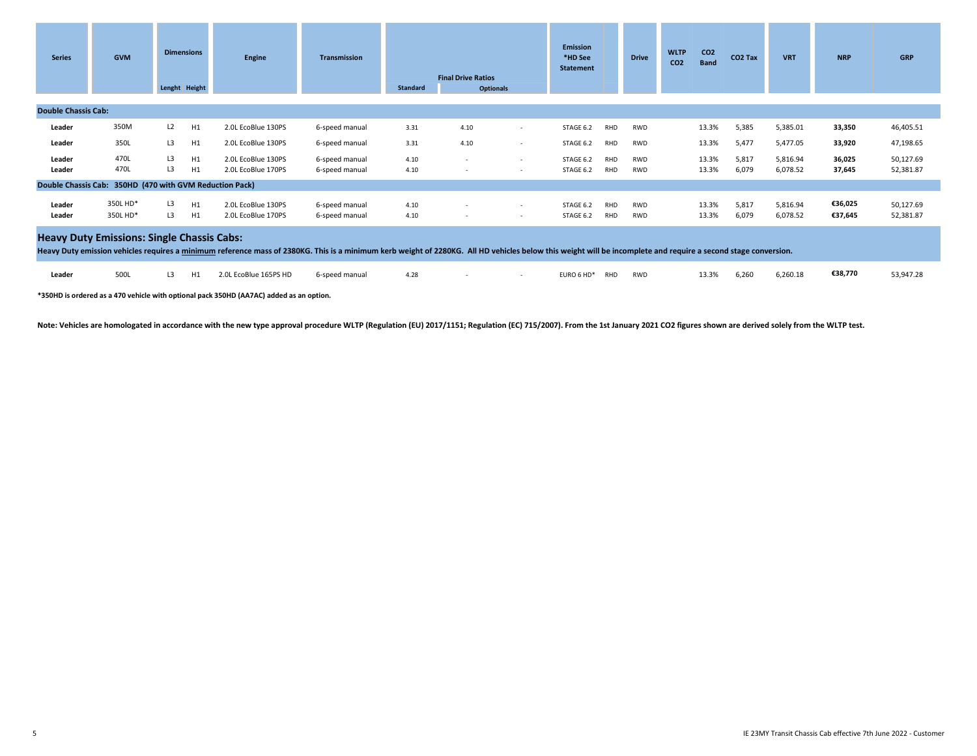| <b>Series</b>              | <b>GVM</b>                                                                                                                                                                                                                                                          | <b>Dimensions</b><br>Lenght Height | <b>Engine</b>                            | <b>Transmission</b>              | Standard     | <b>Final Drive Ratios</b><br><b>Optionals</b> |                                    | <b>Emission</b><br>*HD See<br><b>Statement</b> |                   | <b>Drive</b>             | <b>WLTP</b><br>CO <sub>2</sub> | CO <sub>2</sub><br><b>Band</b> | CO <sub>2</sub> Tax | <b>VRT</b>           | <b>NRP</b>         | <b>GRP</b>             |
|----------------------------|---------------------------------------------------------------------------------------------------------------------------------------------------------------------------------------------------------------------------------------------------------------------|------------------------------------|------------------------------------------|----------------------------------|--------------|-----------------------------------------------|------------------------------------|------------------------------------------------|-------------------|--------------------------|--------------------------------|--------------------------------|---------------------|----------------------|--------------------|------------------------|
| <b>Double Chassis Cab:</b> |                                                                                                                                                                                                                                                                     |                                    |                                          |                                  |              |                                               |                                    |                                                |                   |                          |                                |                                |                     |                      |                    |                        |
| Leader                     | 350M                                                                                                                                                                                                                                                                | L2<br>H1                           | 2.0L EcoBlue 130PS                       | 6-speed manual                   | 3.31         | 4.10                                          | $\sim$                             | STAGE 6.2                                      | RHD               | <b>RWD</b>               |                                | 13.3%                          | 5,385               | 5,385.01             | 33,350             | 46,405.51              |
| Leader                     | 350L                                                                                                                                                                                                                                                                | L3<br>H1                           | 2.0L EcoBlue 130PS                       | 6-speed manual                   | 3.31         | 4.10                                          |                                    | STAGE 6.2                                      | RHD               | <b>RWD</b>               |                                | 13.3%                          | 5,477               | 5,477.05             | 33,920             | 47,198.65              |
| Leader<br>Leader           | 470L<br>470L                                                                                                                                                                                                                                                        | H1<br>L <sub>3</sub><br>L3<br>H1   | 2.0L EcoBlue 130PS<br>2.0L EcoBlue 170PS | 6-speed manual<br>6-speed manual | 4.10<br>4.10 | <b>COL</b>                                    | $\sim$<br>$\sim$                   | STAGE 6.2<br>STAGE 6.2                         | RHD<br>RHD        | <b>RWD</b><br><b>RWD</b> |                                | 13.3%<br>13.3%                 | 5,817<br>6,079      | 5,816.94<br>6,078.52 | 36,025<br>37,645   | 50,127.69<br>52,381.87 |
|                            | Double Chassis Cab: 350HD (470 with GVM Reduction Pack)                                                                                                                                                                                                             |                                    |                                          |                                  |              |                                               |                                    |                                                |                   |                          |                                |                                |                     |                      |                    |                        |
| Leader<br>Leader           | 350L HD*<br>350L HD*                                                                                                                                                                                                                                                | L3<br>H1<br>H1<br>L3               | 2.0L EcoBlue 130PS<br>2.0L EcoBlue 170PS | 6-speed manual<br>6-speed manual | 4.10<br>4.10 |                                               | $\sim$<br>$\overline{\phantom{a}}$ | STAGE 6.2<br>STAGE 6.2                         | <b>RHD</b><br>RHD | <b>RWD</b><br><b>RWD</b> |                                | 13.3%<br>13.3%                 | 5,817<br>6,079      | 5,816.94<br>6,078.52 | €36,025<br>€37,645 | 50,127.69<br>52,381.87 |
|                            | <b>Heavy Duty Emissions: Single Chassis Cabs:</b><br>Heavy Duty emission vehicles requires a minimum reference mass of 2380KG. This is a minimum kerb weight of 2280KG. All HD vehicles below this weight will be incomplete and require a second stage conversion. |                                    |                                          |                                  |              |                                               |                                    |                                                |                   |                          |                                |                                |                     |                      |                    |                        |
| Leader                     | 500L                                                                                                                                                                                                                                                                | L3<br>H1                           | 2.0L EcoBlue 165PS HD                    | 6-speed manual                   | 4.28         |                                               | $\sim$                             | EURO 6 HD*                                     | RHD               | <b>RWD</b>               |                                | 13.3%                          | 6,260               | 6,260.18             | €38,770            | 53,947.28              |

**\*350HD is ordered as a 470 vehicle with optional pack 350HD (AA7AC) added as an option.**

Note: Vehicles are homologated in accordance with the new type approval procedure WLTP (Regulation (EU) 2017/1151; Regulation (EC) 715/2007). From the 1st January 2021 CO2 figures shown are derived solely from the WLTP tes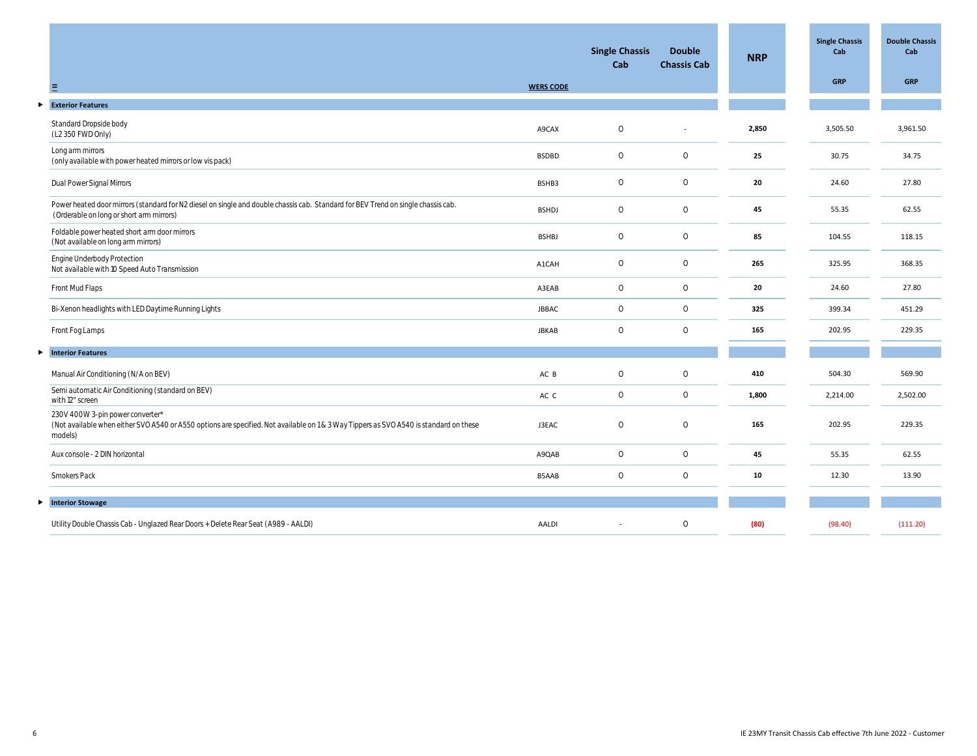|   |                                                                                                                                                                                       |                  | <b>Single Chassis</b><br>Cab | <b>Double</b><br><b>Chassis Cab</b> | <b>NRP</b> | <b>Single Chassis</b><br>Cab | <b>Double Chassis</b><br>Cab |
|---|---------------------------------------------------------------------------------------------------------------------------------------------------------------------------------------|------------------|------------------------------|-------------------------------------|------------|------------------------------|------------------------------|
|   | ≡                                                                                                                                                                                     | <b>WERS CODE</b> |                              |                                     |            | <b>GRP</b>                   | <b>GRP</b>                   |
| ▶ | <b>Exterior Features</b>                                                                                                                                                              |                  |                              |                                     |            |                              |                              |
|   | Standard Dropside body<br>(L2 350 FWD Only)                                                                                                                                           | A9CAX            | $\circ$                      |                                     | 2,850      | 3,505.50                     | 3,961.50                     |
|   | Long arm mirrors<br>(only available with power heated mirrors or low vis pack)                                                                                                        | <b>BSDBD</b>     | $\circ$                      | $\circ$                             | 25         | 30.75                        | 34.75                        |
|   | Dual Power Signal Mirrors                                                                                                                                                             | BSHB3            | $\circ$                      | $\circ$                             | 20         | 24.60                        | 27.80                        |
|   | Power heated door mirrors (standard for N2 diesel on single and double chassis cab. Standard for BEV Trend on single chassis cab.<br>(Orderable on long or short arm mirrors)         | <b>BSHDJ</b>     | $\circ$                      | $\circ$                             | 45         | 55.35                        | 62.55                        |
|   | Foldable power heated short arm door mirrors<br>(Not available on long arm mirrors)                                                                                                   | <b>BSHBJ</b>     | $\circ$                      | $\circ$                             | 85         | 104.55                       | 118.15                       |
|   | Engine Underbody Protection<br>Not available with 10 Speed Auto Transmission                                                                                                          | A1CAH            | $\circ$                      | $\circ$                             | 265        | 325.95                       | 368.35                       |
|   | Front Mud Flaps                                                                                                                                                                       | A3EAB            | $\circ$                      | $\circ$                             | 20         | 24.60                        | 27.80                        |
|   | Bi-Xenon headlights with LED Daytime Running Lights                                                                                                                                   | <b>JBBAC</b>     | $\circ$                      | $\circ$                             | 325        | 399.34                       | 451.29                       |
|   | Front Fog Lamps                                                                                                                                                                       | <b>JBKAB</b>     | $\circ$                      | $\circ$                             | 165        | 202.95                       | 229.35                       |
| ► | <b>Interior Features</b>                                                                                                                                                              |                  |                              |                                     |            |                              |                              |
|   | Manual Air Conditioning (N/A on BEV)                                                                                                                                                  | AC B             | $\circ$                      | $\circ$                             | 410        | 504.30                       | 569.90                       |
|   | Semi automatic Air Conditioning (standard on BEV)<br>with 12" screen                                                                                                                  | AC C             | $\circ$                      | $\circ$                             | 1,800      | 2,214.00                     | 2,502.00                     |
|   | 230V 400W 3-pin power converter*<br>(Not available when either SVO A540 or A550 options are specified. Not available on 1 & 3 Way Tippers as SVO A540 is standard on these<br>models) | J3EAC            | $\circ$                      | $\circ$                             | 165        | 202.95                       | 229.35                       |
|   | Aux console - 2 DIN horizontal                                                                                                                                                        | A9QAB            | $\circ$                      | $\circ$                             | 45         | 55.35                        | 62.55                        |
|   | Smokers Pack                                                                                                                                                                          | B5AAB            | $\circ$                      | $\circ$                             | 10         | 12.30                        | 13.90                        |
| ► | <b>Interior Stowage</b>                                                                                                                                                               |                  |                              |                                     |            |                              |                              |
|   | Utility Double Chassis Cab - Unglazed Rear Doors + Delete Rear Seat (A989 - AALDI)                                                                                                    | AALDI            |                              | $\circ$                             | (80)       | (98.40)                      | (111.20)                     |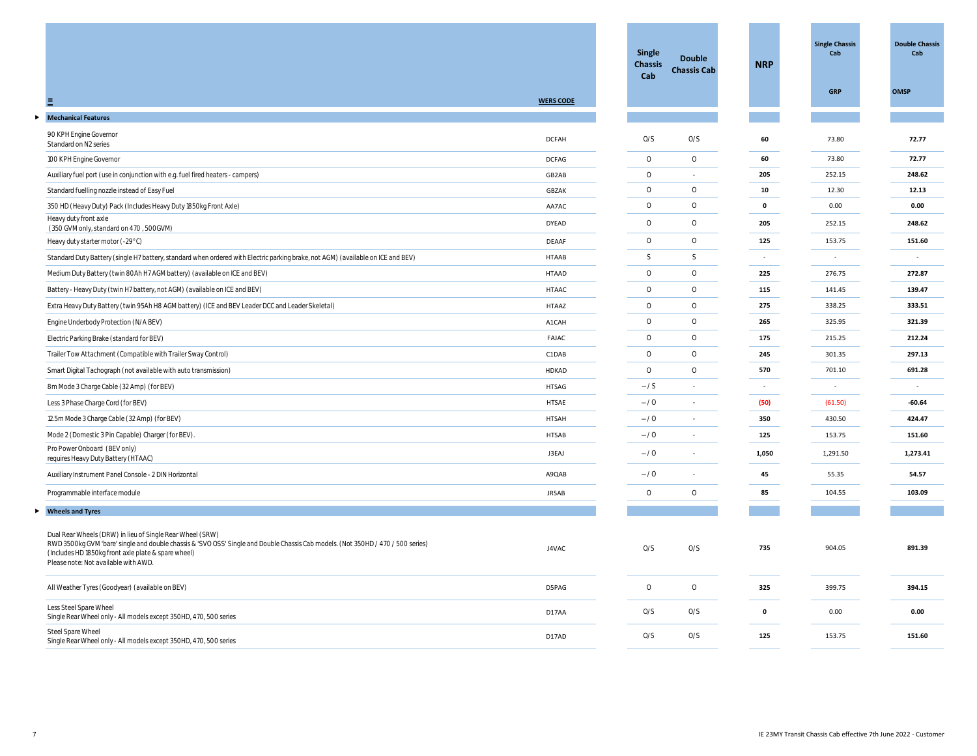|                                                                                                                                                                                                                                                                                              |                  | <b>Single</b><br><b>Chassis</b><br>Cab | <b>Double</b><br><b>Chassis Cab</b> | <b>NRP</b> | <b>Single Chassis</b><br>Cab | <b>Double Chassis</b><br>Cab |
|----------------------------------------------------------------------------------------------------------------------------------------------------------------------------------------------------------------------------------------------------------------------------------------------|------------------|----------------------------------------|-------------------------------------|------------|------------------------------|------------------------------|
| $\equiv$                                                                                                                                                                                                                                                                                     | <b>WERS CODE</b> |                                        |                                     |            | <b>GRP</b>                   | <b>OMSP</b>                  |
| <b>Mechanical Features</b>                                                                                                                                                                                                                                                                   |                  |                                        |                                     |            |                              |                              |
| 90 KPH Engine Governor<br>Standard on N2 series                                                                                                                                                                                                                                              | <b>DCFAH</b>     | O/S                                    | O/S                                 | 60         | 73.80                        | 72.77                        |
| 100 KPH Engine Governor                                                                                                                                                                                                                                                                      | <b>DCFAG</b>     | $\circ$                                | $\circ$                             | 60         | 73.80                        | 72.77                        |
| Auxiliary fuel port (use in conjunction with e.g. fuel fired heaters - campers)                                                                                                                                                                                                              | GB2AB            | $\circ$                                | $\sim$                              | 205        | 252.15                       | 248.62                       |
| Standard fuelling nozzle instead of Easy Fuel                                                                                                                                                                                                                                                | GBZAK            | $\circ$                                | $\circ$                             | 10         | 12.30                        | 12.13                        |
| 350 HD (Heavy Duty) Pack (Includes Heavy Duty 1850kg Front Axle)                                                                                                                                                                                                                             | AA7AC            | $\circ$                                | $\circ$                             | $\pmb{0}$  | 0.00                         | 0.00                         |
| Heavy duty front axle<br>(350 GVM only, standard on 470, 500GVM)                                                                                                                                                                                                                             | <b>DYEAD</b>     | $\circ$                                | $\circ$                             | 205        | 252.15                       | 248.62                       |
| Heavy duty starter motor (-29°C)                                                                                                                                                                                                                                                             | <b>DEAAF</b>     | $\circ$                                | $\circ$                             | 125        | 153.75                       | 151.60                       |
| Standard Duty Battery (single H7 battery, standard when ordered with Electric parking brake, not AGM) (available on ICE and BEV)                                                                                                                                                             | <b>HTAAB</b>     | S                                      | $\mathsf S$                         | $\sim$     |                              |                              |
| Medium Duty Battery (twin 80Ah H7 AGM battery) (available on ICE and BEV)                                                                                                                                                                                                                    | <b>HTAAD</b>     | $\circ$                                | $\circ$                             | 225        | 276.75                       | 272.87                       |
| Battery - Heavy Duty (twin H7 battery, not AGM) (available on ICE and BEV)                                                                                                                                                                                                                   | <b>HTAAC</b>     | $\circ$                                | $\circ$                             | 115        | 141.45                       | 139.47                       |
| Extra Heavy Duty Battery (twin 95Ah H8 AGM battery) (ICE and BEV Leader DCC and Leader Skeletal)                                                                                                                                                                                             | <b>HTAAZ</b>     | $\circ$                                | $\circ$                             | 275        | 338.25                       | 333.51                       |
| Engine Underbody Protection (N/A BEV)                                                                                                                                                                                                                                                        | A1CAH            | $\circ$                                | $\circ$                             | 265        | 325.95                       | 321.39                       |
| Electric Parking Brake (standard for BEV)                                                                                                                                                                                                                                                    | FAJAC            | $\circ$                                | $\circ$                             | 175        | 215.25                       | 212.24                       |
| Trailer Tow Attachment (Compatible with Trailer Sway Control)                                                                                                                                                                                                                                | C1DAB            | $\circ$                                | $\circ$                             | 245        | 301.35                       | 297.13                       |
| Smart Digital Tachograph (not available with auto transmission)                                                                                                                                                                                                                              | HDKAD            | $\circ$                                | $\circ$                             | 570        | 701.10                       | 691.28                       |
| 8m Mode 3 Charge Cable (32 Amp) (for BEV)                                                                                                                                                                                                                                                    | <b>HTSAG</b>     | $-\frac{1}{S}$                         | $\overline{\phantom{a}}$            | $\sim$     |                              | $\sim$                       |
| Less 3 Phase Charge Cord (for BEV)                                                                                                                                                                                                                                                           | HTSAE            | $-10$                                  | ٠                                   | (50)       | (61.50)                      | $-60.64$                     |
| 12.5m Mode 3 Charge Cable (32 Amp) (for BEV)                                                                                                                                                                                                                                                 | <b>HTSAH</b>     | $-10$                                  |                                     | 350        | 430.50                       | 424.47                       |
| Mode 2 (Domestic 3 Pin Capable) Charger (for BEV).                                                                                                                                                                                                                                           | HTSAB            | $-70$                                  | ٠                                   | 125        | 153.75                       | 151.60                       |
| Pro Power Onboard (BEV only)<br>requires Heavy Duty Battery (HTAAC)                                                                                                                                                                                                                          | J3EAJ            | $-10$                                  |                                     | 1,050      | 1,291.50                     | 1,273.41                     |
| Auxiliary Instrument Panel Console - 2 DIN Horizontal                                                                                                                                                                                                                                        | A9QAB            | $-10$                                  | ٠                                   | 45         | 55.35                        | 54.57                        |
| Programmable interface module                                                                                                                                                                                                                                                                | <b>JRSAB</b>     | $\circ$                                | $\circ$                             | 85         | 104.55                       | 103.09                       |
| <b>Wheels and Tyres</b>                                                                                                                                                                                                                                                                      |                  |                                        |                                     |            |                              |                              |
| Dual Rear Wheels (DRW) in lieu of Single Rear Wheel (SRW)<br>RWD 3500kg GVM 'bare' single and double chassis & 'SVO OSS' Single and Double Chassis Cab models. (Not 350HD / 470 / 500 series)<br>(Includes HD 1850kg front axle plate & spare wheel)<br>Please note: Not available with AWD. | J4VAC            | O/S                                    | 0/S                                 | 735        | 904.05                       | 891.39                       |
| All Weather Tyres (Goodyear) (available on BEV)                                                                                                                                                                                                                                              | D5PAG            | $\circ$                                | $\circ$                             | 325        | 399.75                       | 394.15                       |
| Less Steel Spare Wheel<br>Single Rear Wheel only - All models except 350HD, 470, 500 series                                                                                                                                                                                                  | D17AA            | O/S                                    | O/S                                 | 0          | 0.00                         | 0.00                         |
| Steel Spare Wheel<br>Single Rear Wheel only - All models except 350HD, 470, 500 series                                                                                                                                                                                                       | D17AD            | O/S                                    | O/S                                 | 125        | 153.75                       | 151.60                       |
|                                                                                                                                                                                                                                                                                              |                  |                                        |                                     |            |                              |                              |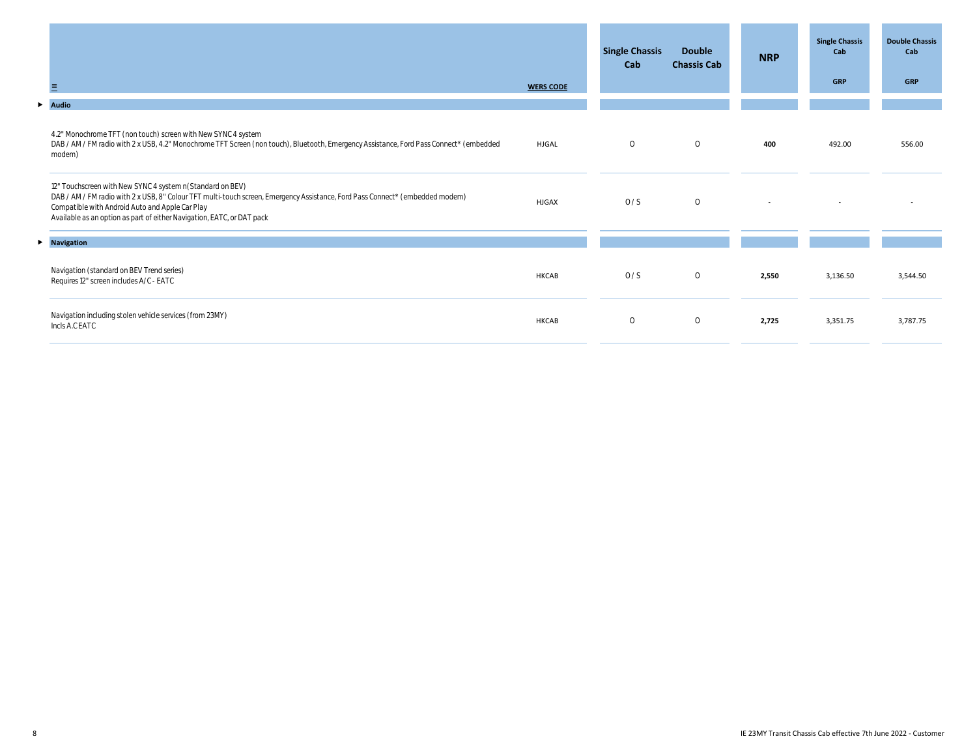| Ξ                                                                                                                                                                                                                                                                                                                       | <b>WERS CODE</b> | <b>Single Chassis</b><br>Cab | <b>Double</b><br><b>Chassis Cab</b> | <b>NRP</b> | <b>Single Chassis</b><br>Cab<br><b>GRP</b> | <b>Double Chassis</b><br>Cab<br><b>GRP</b> |
|-------------------------------------------------------------------------------------------------------------------------------------------------------------------------------------------------------------------------------------------------------------------------------------------------------------------------|------------------|------------------------------|-------------------------------------|------------|--------------------------------------------|--------------------------------------------|
| $\blacktriangleright$ Audio                                                                                                                                                                                                                                                                                             |                  |                              |                                     |            |                                            |                                            |
| 4.2" Monochrome TFT (non touch) screen with New SYNC 4 system<br>DAB / AM / FM radio with 2 x USB, 4.2" Monochrome TFT Screen (non touch), Bluetooth, Emergency Assistance, Ford Pass Connect* (embedded<br>modem)                                                                                                      | <b>HJGAL</b>     | $\circ$                      | $\circ$                             | 400        | 492.00                                     | 556.00                                     |
| 12" Touchscreen with New SYNC 4 system n(Standard on BEV)<br>DAB / AM / FM radio with 2 x USB, 8" Colour TFT multi-touch screen, Emergency Assistance, Ford Pass Connect* (embedded modem)<br>Compatible with Android Auto and Apple Car Play<br>Available as an option as part of either Navigation, EATC, or DAT pack | <b>HJGAX</b>     | 0/S                          | $\circ$                             |            |                                            |                                            |
| $\triangleright$ Navigation                                                                                                                                                                                                                                                                                             |                  |                              |                                     |            |                                            |                                            |
| Navigation (standard on BEV Trend series)<br>Requires 12" screen includes A/C - EATC                                                                                                                                                                                                                                    | <b>HKCAB</b>     | 0/S                          | $\circ$                             | 2,550      | 3,136.50                                   | 3,544.50                                   |
| Navigation including stolen vehicle services (from 23MY)<br>Incls A.C EATC                                                                                                                                                                                                                                              | HKCAB            | $\circ$                      | $\circ$                             | 2,725      | 3,351.75                                   | 3,787.75                                   |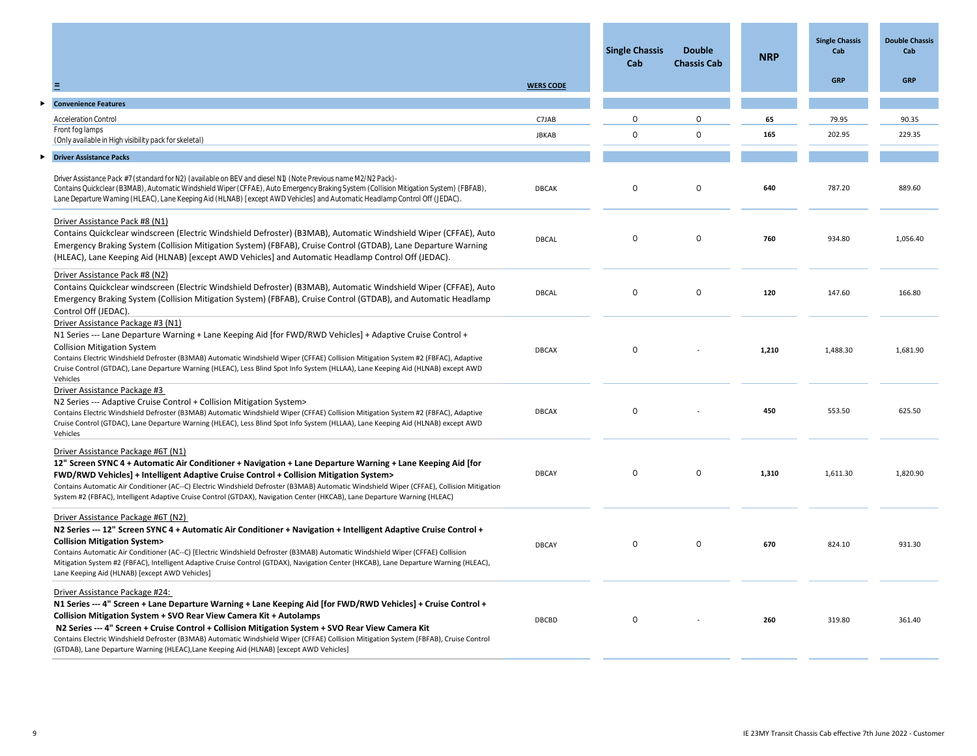|                                                                                                                                                                                                                                                                                                                                                                                                                                                                                                                                                                |                  | <b>Single Chassis</b><br>Cab | <b>Double</b><br><b>Chassis Cab</b> | <b>NRP</b> | <b>Single Chassis</b><br>Cab | <b>Double Chassis</b><br>Cab |
|----------------------------------------------------------------------------------------------------------------------------------------------------------------------------------------------------------------------------------------------------------------------------------------------------------------------------------------------------------------------------------------------------------------------------------------------------------------------------------------------------------------------------------------------------------------|------------------|------------------------------|-------------------------------------|------------|------------------------------|------------------------------|
| Ξ                                                                                                                                                                                                                                                                                                                                                                                                                                                                                                                                                              | <b>WERS CODE</b> |                              |                                     |            | <b>GRP</b>                   | <b>GRP</b>                   |
| <b>Convenience Features</b>                                                                                                                                                                                                                                                                                                                                                                                                                                                                                                                                    |                  |                              |                                     |            |                              |                              |
| <b>Acceleration Control</b>                                                                                                                                                                                                                                                                                                                                                                                                                                                                                                                                    | C7JAB            | $\Omega$                     | $\circ$                             | 65         | 79.95                        | 90.35                        |
| Front fog lamps                                                                                                                                                                                                                                                                                                                                                                                                                                                                                                                                                | <b>JBKAB</b>     | $\circ$                      | $\bigcap$                           | 165        | 202.95                       | 229.35                       |
| (Only available in High visibility pack for skeletal)                                                                                                                                                                                                                                                                                                                                                                                                                                                                                                          |                  |                              |                                     |            |                              |                              |
| <b>Driver Assistance Packs</b>                                                                                                                                                                                                                                                                                                                                                                                                                                                                                                                                 |                  |                              |                                     |            |                              |                              |
| Driver Assistance Pack #7 (standard for N2) (available on BEV and diesel N1) (Note Previous name M2/N2 Pack)-<br>Contains Quickclear (B3MAB), Automatic Windshield Wiper (CFFAE), Auto Emergency Braking System (Collision Mitigation System) (FBFAB),<br>Lane Departure Warning (HLEAC), Lane Keeping Aid (HLNAB) [except AWD Vehicles] and Automatic Headlamp Control Off (JEDAC).                                                                                                                                                                           | <b>DBCAK</b>     | $\circ$                      | $\circ$                             | 640        | 787.20                       | 889.60                       |
| Driver Assistance Pack #8 (N1)<br>Contains Quickclear windscreen (Electric Windshield Defroster) (B3MAB), Automatic Windshield Wiper (CFFAE), Auto<br>Emergency Braking System (Collision Mitigation System) (FBFAB), Cruise Control (GTDAB), Lane Departure Warning<br>(HLEAC), Lane Keeping Aid (HLNAB) [except AWD Vehicles] and Automatic Headlamp Control Off (JEDAC).                                                                                                                                                                                    | DBCAL            | $\circ$                      | $\circ$                             | 760        | 934.80                       | 1,056.40                     |
| Driver Assistance Pack #8 (N2)<br>Contains Quickclear windscreen (Electric Windshield Defroster) (B3MAB), Automatic Windshield Wiper (CFFAE), Auto<br>Emergency Braking System (Collision Mitigation System) (FBFAB), Cruise Control (GTDAB), and Automatic Headlamp<br>Control Off (JEDAC).                                                                                                                                                                                                                                                                   | DBCAL            | $\Omega$                     | $\circ$                             | 120        | 147.60                       | 166.80                       |
| Driver Assistance Package #3 (N1)<br>N1 Series --- Lane Departure Warning + Lane Keeping Aid [for FWD/RWD Vehicles] + Adaptive Cruise Control +<br><b>Collision Mitigation System</b><br>Contains Electric Windshield Defroster (B3MAB) Automatic Windshield Wiper (CFFAE) Collision Mitigation System #2 (FBFAC), Adaptive<br>Cruise Control (GTDAC), Lane Departure Warning (HLEAC), Less Blind Spot Info System (HLLAA), Lane Keeping Aid (HLNAB) except AWD<br>Vehicles                                                                                    | <b>DBCAX</b>     | $\circ$                      |                                     | 1,210      | 1,488.30                     | 1,681.90                     |
| Driver Assistance Package #3<br>N2 Series --- Adaptive Cruise Control + Collision Mitigation System><br>Contains Electric Windshield Defroster (B3MAB) Automatic Windshield Wiper (CFFAE) Collision Mitigation System #2 (FBFAC), Adaptive<br>Cruise Control (GTDAC), Lane Departure Warning (HLEAC), Less Blind Spot Info System (HLLAA), Lane Keeping Aid (HLNAB) except AWD<br>Vehicles                                                                                                                                                                     | <b>DBCAX</b>     | $\circ$                      |                                     | 450        | 553.50                       | 625.50                       |
| Driver Assistance Package #6T (N1)<br>12" Screen SYNC 4 + Automatic Air Conditioner + Navigation + Lane Departure Warning + Lane Keeping Aid [for<br>FWD/RWD Vehicles] + Intelligent Adaptive Cruise Control + Collision Mitigation System><br>Contains Automatic Air Conditioner (AC--C) Electric Windshield Defroster (B3MAB) Automatic Windshield Wiper (CFFAE), Collision Mitigation<br>System #2 (FBFAC), Intelligent Adaptive Cruise Control (GTDAX), Navigation Center (HKCAB), Lane Departure Warning (HLEAC)                                          | <b>DBCAY</b>     | $\circ$                      | $\circ$                             | 1,310      | 1,611.30                     | 1,820.90                     |
| Driver Assistance Package #6T (N2)<br>N2 Series --- 12" Screen SYNC 4 + Automatic Air Conditioner + Navigation + Intelligent Adaptive Cruise Control +<br><b>Collision Mitigation System&gt;</b><br>Contains Automatic Air Conditioner (AC--C) [Electric Windshield Defroster (B3MAB) Automatic Windshield Wiper (CFFAE) Collision<br>Mitigation System #2 (FBFAC), Intelligent Adaptive Cruise Control (GTDAX), Navigation Center (HKCAB), Lane Departure Warning (HLEAC),<br>Lane Keeping Aid (HLNAB) [except AWD Vehicles]                                  | <b>DBCAY</b>     | $\circ$                      | $\circ$                             | 670        | 824.10                       | 931.30                       |
| Driver Assistance Package #24:<br>N1 Series --- 4" Screen + Lane Departure Warning + Lane Keeping Aid [for FWD/RWD Vehicles] + Cruise Control +<br>Collision Mitigation System + SVO Rear View Camera Kit + Autolamps<br>N2 Series --- 4" Screen + Cruise Control + Collision Mitigation System + SVO Rear View Camera Kit<br>Contains Electric Windshield Defroster (B3MAB) Automatic Windshield Wiper (CFFAE) Collision Mitigation System (FBFAB), Cruise Control<br>(GTDAB), Lane Departure Warning (HLEAC), Lane Keeping Aid (HLNAB) [except AWD Vehicles] | DBCBD            | $\circ$                      |                                     | 260        | 319.80                       | 361.40                       |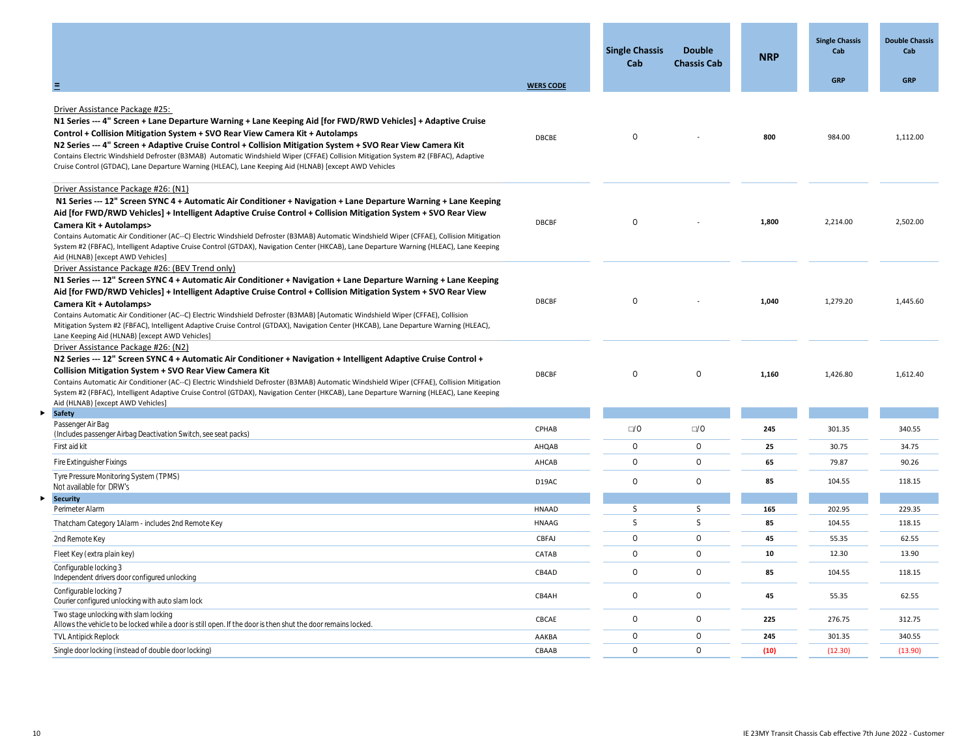|                                                                                                                                                                                                                                                                                                                                                                                                                                                                                                                                                                                                                                                |                  | <b>Single Chassis</b><br>Cab | <b>Double</b><br><b>Chassis Cab</b> | <b>NRP</b> | <b>Single Chassis</b><br>Cab | <b>Double Chassis</b><br>Cab |
|------------------------------------------------------------------------------------------------------------------------------------------------------------------------------------------------------------------------------------------------------------------------------------------------------------------------------------------------------------------------------------------------------------------------------------------------------------------------------------------------------------------------------------------------------------------------------------------------------------------------------------------------|------------------|------------------------------|-------------------------------------|------------|------------------------------|------------------------------|
| Ξ                                                                                                                                                                                                                                                                                                                                                                                                                                                                                                                                                                                                                                              | <b>WERS CODE</b> |                              |                                     |            | <b>GRP</b>                   | GRP                          |
| Driver Assistance Package #25:<br>N1 Series --- 4" Screen + Lane Departure Warning + Lane Keeping Aid [for FWD/RWD Vehicles] + Adaptive Cruise<br>Control + Collision Mitigation System + SVO Rear View Camera Kit + Autolamps<br>N2 Series --- 4" Screen + Adaptive Cruise Control + Collision Mitigation System + SVO Rear View Camera Kit<br>Contains Electric Windshield Defroster (B3MAB) Automatic Windshield Wiper (CFFAE) Collision Mitigation System #2 (FBFAC), Adaptive<br>Cruise Control (GTDAC), Lane Departure Warning (HLEAC), Lane Keeping Aid (HLNAB) [except AWD Vehicles                                                    | <b>DBCBE</b>     | $\circ$                      |                                     | 800        | 984.00                       | 1,112.00                     |
| Driver Assistance Package #26: (N1)<br>N1 Series --- 12" Screen SYNC 4 + Automatic Air Conditioner + Navigation + Lane Departure Warning + Lane Keeping<br>Aid [for FWD/RWD Vehicles] + Intelligent Adaptive Cruise Control + Collision Mitigation System + SVO Rear View<br>Camera Kit + Autolamps><br>Contains Automatic Air Conditioner (AC--C) Electric Windshield Defroster (B3MAB) Automatic Windshield Wiper (CFFAE), Collision Mitigation<br>System #2 (FBFAC), Intelligent Adaptive Cruise Control (GTDAX), Navigation Center (HKCAB), Lane Departure Warning (HLEAC), Lane Keeping<br>Aid (HLNAB) [except AWD Vehicles]              | DBCBF            | $\circ$                      |                                     | 1,800      | 2,214.00                     | 2,502.00                     |
| Driver Assistance Package #26: (BEV Trend only)<br>N1 Series --- 12" Screen SYNC 4 + Automatic Air Conditioner + Navigation + Lane Departure Warning + Lane Keeping<br>Aid [for FWD/RWD Vehicles] + Intelligent Adaptive Cruise Control + Collision Mitigation System + SVO Rear View<br>Camera Kit + Autolamps><br>Contains Automatic Air Conditioner (AC--C) Electric Windshield Defroster (B3MAB) [Automatic Windshield Wiper (CFFAE), Collision<br>Mitigation System #2 (FBFAC), Intelligent Adaptive Cruise Control (GTDAX), Navigation Center (HKCAB), Lane Departure Warning (HLEAC),<br>Lane Keeping Aid (HLNAB) [except AWD Vehicles] | DBCBF            | $\circ$                      |                                     | 1,040      | 1,279.20                     | 1,445.60                     |
| Driver Assistance Package #26: (N2)<br>N2 Series --- 12" Screen SYNC 4 + Automatic Air Conditioner + Navigation + Intelligent Adaptive Cruise Control +<br><b>Collision Mitigation System + SVO Rear View Camera Kit</b><br>Contains Automatic Air Conditioner (AC--C) Electric Windshield Defroster (B3MAB) Automatic Windshield Wiper (CFFAE), Collision Mitigation<br>System #2 (FBFAC), Intelligent Adaptive Cruise Control (GTDAX), Navigation Center (HKCAB), Lane Departure Warning (HLEAC), Lane Keeping<br>Aid (HLNAB) [except AWD Vehicles]                                                                                          | <b>DBCBF</b>     | $\circ$                      | $\circ$                             | 1,160      | 1,426.80                     | 1,612.40                     |
| <b>Safety</b>                                                                                                                                                                                                                                                                                                                                                                                                                                                                                                                                                                                                                                  |                  |                              |                                     |            |                              |                              |
| Passenger Air Bag<br>(Includes passenger Airbag Deactivation Switch, see seat packs)                                                                                                                                                                                                                                                                                                                                                                                                                                                                                                                                                           | CPHAB            | $\square/0$                  | $\square$ /0                        | 245        | 301.35                       | 340.55                       |
| First aid kit                                                                                                                                                                                                                                                                                                                                                                                                                                                                                                                                                                                                                                  | AHQAB            | $\circ$                      | $\circ$                             | 25         | 30.75                        | 34.75                        |
| Fire Extinguisher Fixings                                                                                                                                                                                                                                                                                                                                                                                                                                                                                                                                                                                                                      | AHCAB            | $\circ$                      | $\circ$                             | 65         | 79.87                        | 90.26                        |
| Tyre Pressure Monitoring System (TPMS)<br>Not available for DRW's                                                                                                                                                                                                                                                                                                                                                                                                                                                                                                                                                                              | D19AC            | $\circ$                      | $\circ$                             | 85         | 104.55                       | 118.15                       |
| <b>Security</b><br>Perimeter Alarm                                                                                                                                                                                                                                                                                                                                                                                                                                                                                                                                                                                                             | HNAAD            | <sub>S</sub>                 | $\mathsf{S}$                        | 165        | 202.95                       | 229.35                       |
| Thatcham Category 1 Alarm - includes 2nd Remote Key                                                                                                                                                                                                                                                                                                                                                                                                                                                                                                                                                                                            | HNAAG            | S                            | $\mathsf S$                         | 85         | 104.55                       | 118.15                       |
| 2nd Remote Key                                                                                                                                                                                                                                                                                                                                                                                                                                                                                                                                                                                                                                 | CBFAJ            | $\circ$                      | $\circ$                             | 45         | 55.35                        | 62.55                        |
| Fleet Key (extra plain key)                                                                                                                                                                                                                                                                                                                                                                                                                                                                                                                                                                                                                    | CATAB            | $\circ$                      | $\circ$                             | 10         | 12.30                        | 13.90                        |
| Configurable locking 3<br>Independent drivers door configured unlocking                                                                                                                                                                                                                                                                                                                                                                                                                                                                                                                                                                        | CB4AD            | $\circ$                      | $\circ$                             | 85         | 104.55                       | 118.15                       |
| Configurable locking 7<br>Courier configured unlocking with auto slam lock                                                                                                                                                                                                                                                                                                                                                                                                                                                                                                                                                                     | CB4AH            | $\circ$                      | $\circ$                             | 45         | 55.35                        | 62.55                        |
| Two stage unlocking with slam locking<br>Allows the vehicle to be locked while a door is still open. If the door is then shut the door remains locked.                                                                                                                                                                                                                                                                                                                                                                                                                                                                                         | CBCAE            | $\circ$                      | $\bigcirc$                          | 225        | 276.75                       | 312.75                       |
| <b>TVL Antipick Replock</b>                                                                                                                                                                                                                                                                                                                                                                                                                                                                                                                                                                                                                    | AAKBA            | $\circ$                      | $\circ$                             | 245        | 301.35                       | 340.55                       |
| Single door locking (instead of double door locking)                                                                                                                                                                                                                                                                                                                                                                                                                                                                                                                                                                                           | CBAAB            | $\circ$                      | $\Omega$                            | (10)       | (12.30)                      | (13.90)                      |

 $\blacktriangleright$ 

 $\blacktriangleright$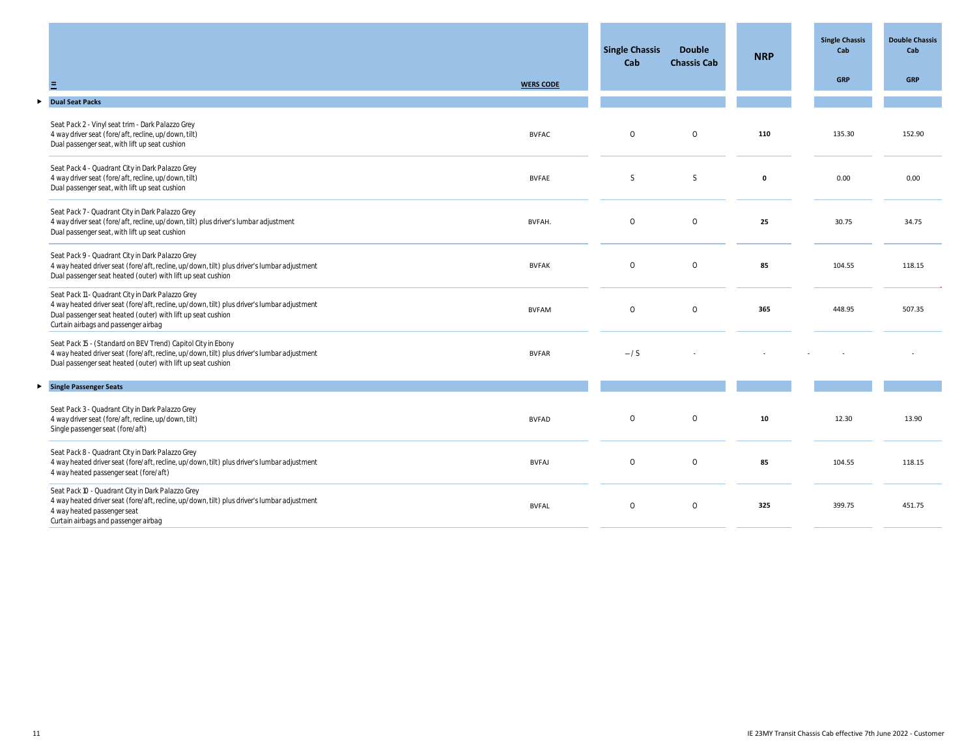|                                                                                                                                                                                                                                                          |                  | <b>Single Chassis</b><br>Cab | <b>Double</b><br><b>Chassis Cab</b> | <b>NRP</b>   | <b>Single Chassis</b><br>Cab | <b>Double Chassis</b><br>Cab |
|----------------------------------------------------------------------------------------------------------------------------------------------------------------------------------------------------------------------------------------------------------|------------------|------------------------------|-------------------------------------|--------------|------------------------------|------------------------------|
|                                                                                                                                                                                                                                                          | <b>WERS CODE</b> |                              |                                     |              | <b>GRP</b>                   | <b>GRP</b>                   |
|                                                                                                                                                                                                                                                          |                  |                              |                                     |              |                              |                              |
| Seat Pack 2 - Vinyl seat trim - Dark Palazzo Grey<br>4 way driver seat (fore/aft, recline, up/down, tilt)<br>Dual passenger seat, with lift up seat cushion                                                                                              | <b>BVFAC</b>     | $\circ$                      | $\circ$                             | 110          | 135.30                       | 152.90                       |
| Seat Pack 4 - Quadrant City in Dark Palazzo Grey<br>4 way driver seat (fore/aft, recline, up/down, tilt)<br>Dual passenger seat, with lift up seat cushion                                                                                               | <b>BVFAE</b>     | <sub>S</sub>                 | $\mathsf S$                         | $\mathbf{o}$ | 0.00                         | 0.00                         |
| Seat Pack 7 - Quadrant City in Dark Palazzo Grey<br>4 way driver seat (fore/aft, recline, up/down, tilt) plus driver's lumbar adjustment<br>Dual passenger seat, with lift up seat cushion                                                               | BVFAH.           | $\circ$                      | $\circ$                             | 25           | 30.75                        | 34.75                        |
| Seat Pack 9 - Quadrant City in Dark Palazzo Grey<br>4 way heated driver seat (fore/aft, recline, up/down, tilt) plus driver's lumbar adjustment<br>Dual passenger seat heated (outer) with lift up seat cushion                                          | <b>BVFAK</b>     | $\circ$                      | $\circ$                             | 85           | 104.55                       | 118.15                       |
| Seat Pack 11 - Quadrant City in Dark Palazzo Grey<br>4 way heated driver seat (fore/aft, recline, up/down, tilt) plus driver's lumbar adjustment<br>Dual passenger seat heated (outer) with lift up seat cushion<br>Curtain airbags and passenger airbag | <b>BVFAM</b>     | $\circ$                      | $\circ$                             | 365          | 448.95                       | 507.35                       |
| Seat Pack 15 - (Standard on BEV Trend) Capitol City in Ebony<br>4 way heated driver seat (fore/aft, recline, up/down, tilt) plus driver's lumbar adjustment<br>Dual passenger seat heated (outer) with lift up seat cushion                              | <b>BVFAR</b>     | $-\frac{1}{s}$               |                                     |              |                              |                              |
|                                                                                                                                                                                                                                                          |                  |                              |                                     |              |                              |                              |
| Seat Pack 3 - Quadrant City in Dark Palazzo Grey<br>4 way driver seat (fore/aft, recline, up/down, tilt)<br>Single passenger seat (fore/aft)                                                                                                             | <b>BVFAD</b>     | $\circ$                      | $\circ$                             | 10           | 12.30                        | 13.90                        |
| Seat Pack 8 - Quadrant City in Dark Palazzo Grey<br>4 way heated driver seat (fore/aft, recline, up/down, tilt) plus driver's lumbar adjustment<br>4 way heated passenger seat (fore/aft)                                                                | <b>BVFAJ</b>     | $\circ$                      | $\circ$                             | 85           | 104.55                       | 118.15                       |
| Seat Pack 10 - Quadrant City in Dark Palazzo Grey<br>4 way heated driver seat (fore/aft, recline, up/down, tilt) plus driver's lumbar adjustment<br>4 way heated passenger seat<br>Curtain airbags and passenger airbag                                  | <b>BVFAL</b>     | $\circ$                      | $\circ$                             | 325          | 399.75                       | 451.75                       |
|                                                                                                                                                                                                                                                          |                  |                              |                                     |              |                              |                              |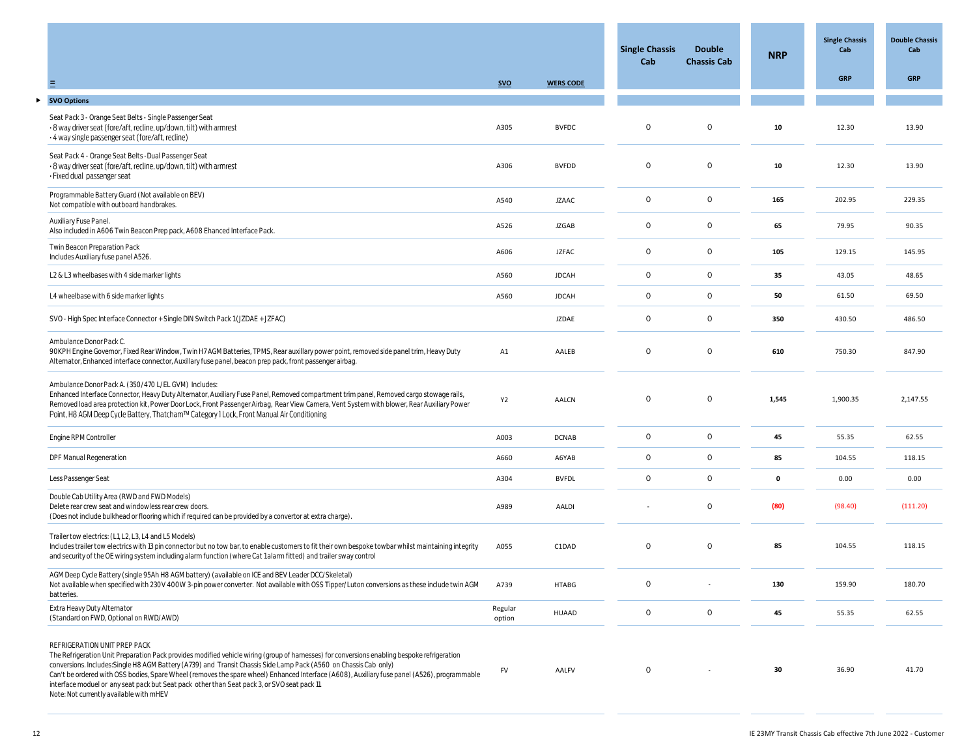|                                                                                                                                                                                                                                                                                                                                                                                                                                                                                                                                                                                              |                   |                  | <b>Single Chassis</b><br>Cab | <b>Double</b><br><b>Chassis Cab</b> | <b>NRP</b> | <b>Single Chassis</b><br>Cab | <b>Double Chassis</b><br>Cab |
|----------------------------------------------------------------------------------------------------------------------------------------------------------------------------------------------------------------------------------------------------------------------------------------------------------------------------------------------------------------------------------------------------------------------------------------------------------------------------------------------------------------------------------------------------------------------------------------------|-------------------|------------------|------------------------------|-------------------------------------|------------|------------------------------|------------------------------|
| Ξ                                                                                                                                                                                                                                                                                                                                                                                                                                                                                                                                                                                            | <b>SVO</b>        | <b>WERS CODE</b> |                              |                                     |            | <b>GRP</b>                   | <b>GRP</b>                   |
| <b>SVO Options</b>                                                                                                                                                                                                                                                                                                                                                                                                                                                                                                                                                                           |                   |                  |                              |                                     |            |                              |                              |
| Seat Pack 3 - Orange Seat Belts - Single Passenger Seat<br>· 8 way driver seat (fore/aft, recline, up/down, tilt) with armrest<br>· 4 way single passenger seat (fore/aft, recline)                                                                                                                                                                                                                                                                                                                                                                                                          | A305              | <b>BVFDC</b>     | 0                            | $\circ$                             | 10         | 12.30                        | 13.90                        |
| Seat Pack 4 - Orange Seat Belts - Dual Passenger Seat<br>· 8 way driver seat (fore/aft, recline, up/down, tilt) with armrest<br>· Fixed dual passenger seat                                                                                                                                                                                                                                                                                                                                                                                                                                  | A306              | <b>BVFDD</b>     | $\circ$                      | $\circ$                             | 10         | 12.30                        | 13.90                        |
| Programmable Battery Guard (Not available on BEV)<br>Not compatible with outboard handbrakes.                                                                                                                                                                                                                                                                                                                                                                                                                                                                                                | A540              | <b>JZAAC</b>     | $\circ$                      | $\circ$                             | 165        | 202.95                       | 229.35                       |
| Auxiliary Fuse Panel.<br>Also included in A606 Twin Beacon Prep pack, A608 Ehanced Interface Pack.                                                                                                                                                                                                                                                                                                                                                                                                                                                                                           | A526              | <b>JZGAB</b>     | $\circ$                      | $\circ$                             | 65         | 79.95                        | 90.35                        |
| Twin Beacon Preparation Pack<br>Includes Auxiliary fuse panel A526.                                                                                                                                                                                                                                                                                                                                                                                                                                                                                                                          | A606              | <b>JZFAC</b>     | $\circ$                      | $\circ$                             | 105        | 129.15                       | 145.95                       |
| L2 & L3 wheelbases with 4 side marker lights                                                                                                                                                                                                                                                                                                                                                                                                                                                                                                                                                 | A560              | <b>JDCAH</b>     | $\circ$                      | $\circ$                             | 35         | 43.05                        | 48.65                        |
| L4 wheelbase with 6 side marker lights                                                                                                                                                                                                                                                                                                                                                                                                                                                                                                                                                       | A560              | <b>JDCAH</b>     | $\circ$                      | $\circ$                             | 50         | 61.50                        | 69.50                        |
| SVO - High Spec Interface Connector + Single DIN Switch Pack 1 (JZDAE + JZFAC)                                                                                                                                                                                                                                                                                                                                                                                                                                                                                                               |                   | <b>JZDAE</b>     | $\circ$                      | $\circ$                             | 350        | 430.50                       | 486.50                       |
| Ambulance Donor Pack C.<br>90KPH Engine Governor, Fixed Rear Window, Twin H7 AGM Batteries, TPMS, Rear auxillary power point, removed side panel trim, Heavy Duty<br>Alternator, Enhanced interface connector, Auxillary fuse panel, beacon prep pack, front passenger airbag.                                                                                                                                                                                                                                                                                                               | A1                | AALEB            | $\circ$                      | $\circ$                             | 610        | 750.30                       | 847.90                       |
| Ambulance Donor Pack A. (350/470 L/EL GVM) Includes:<br>Enhanced Interface Connector, Heavy Duty Alternator, Auxiliary Fuse Panel, Removed compartment trim panel, Removed cargo stowage rails,<br>Removed load area protection kit, Power Door Lock, Front Passenger Airbag, Rear View Camera, Vent System with blower, Rear Auxiliary Power<br>Point, H8 AGM Deep Cycle Battery, Thatcham™ Category 1 Lock, Front Manual Air Conditioning                                                                                                                                                  | Y <sub>2</sub>    | AALCN            | $\circ$                      | $\circ$                             | 1,545      | 1,900.35                     | 2,147.55                     |
| Engine RPM Controller                                                                                                                                                                                                                                                                                                                                                                                                                                                                                                                                                                        | A003              | <b>DCNAB</b>     | $\circ$                      | $\circ$                             | 45         | 55.35                        | 62.55                        |
| DPF Manual Regeneration                                                                                                                                                                                                                                                                                                                                                                                                                                                                                                                                                                      | A660              | A6YAB            | $\circ$                      | $\circ$                             | 85         | 104.55                       | 118.15                       |
| Less Passenger Seat                                                                                                                                                                                                                                                                                                                                                                                                                                                                                                                                                                          | A304              | <b>BVFDL</b>     | $\circ$                      | $\circ$                             | 0          | 0.00                         | 0.00                         |
| Double Cab Utility Area (RWD and FWD Models)<br>Delete rear crew seat and windowless rear crew doors.<br>(Does not include bulkhead or flooring which if required can be provided by a convertor at extra charge).                                                                                                                                                                                                                                                                                                                                                                           | A989              | AALDI            |                              | $\circ$                             | (80)       | (98.40)                      | (111.20)                     |
| Trailer tow electrics: (L1, L2, L3, L4 and L5 Models)<br>Includes trailer tow electrics with 13 pin connector but no tow bar, to enable customers to fit their own bespoke towbar whilst maintaining integrity<br>and security of the OE wiring system including alarm function (where Cat 1 alarm fitted) and trailer sway control                                                                                                                                                                                                                                                          | A055              | C1DAD            | $\circ$                      | $\circ$                             | 85         | 104.55                       | 118.15                       |
| AGM Deep Cycle Battery (single 95Ah H8 AGM battery) (available on ICE and BEV Leader DCC/Skeletal)<br>Not available when specified with 230V 400W 3-pin power converter. Not available with OSS Tipper/Luton conversions as these include twin AGM<br>batteries.                                                                                                                                                                                                                                                                                                                             | A739              | HTABG            | 0                            |                                     | 130        | 159.90                       | 180.70                       |
| Extra Heavy Duty Alternator<br>(Standard on FWD, Optional on RWD/AWD)                                                                                                                                                                                                                                                                                                                                                                                                                                                                                                                        | Regular<br>option | HUAAD            | $\circ$                      | $\circ$                             | 45         | 55.35                        | 62.55                        |
| REFRIGERATION UNIT PREP PACK<br>The Refrigeration Unit Preparation Pack provides modified vehicle wiring (group of harnesses) for conversions enabling bespoke refrigeration<br>conversions. Includes: Single H8 AGM Battery (A739) and Transit Chassis Side Lamp Pack (A560 on Chassis Cab only)<br>Can't be ordered with OSS bodies, Spare Wheel (removes the spare wheel) Enhanced Interface (A608), Auxiliary fuse panel (A526), programmable<br>interface moduel or any seat pack but Seat pack other than Seat pack 3, or SVO seat pack 11.<br>Note: Not currently available with mHEV | FV                | AALFV            | $\circ$                      |                                     | 30         | 36.90                        | 41.70                        |

 $\blacktriangleright$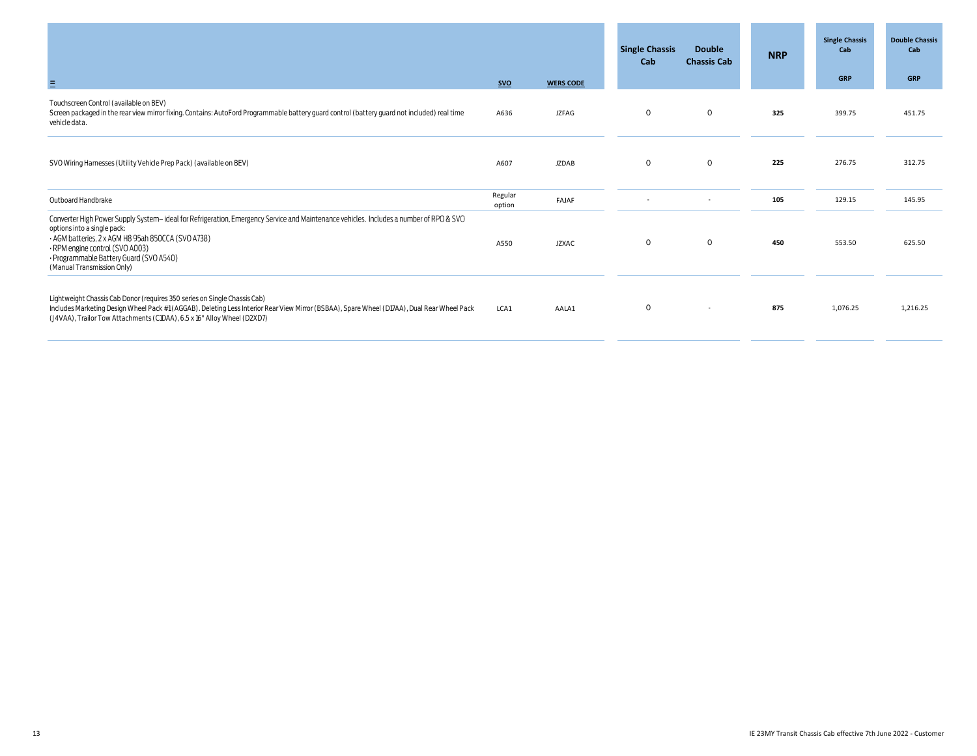|                                                                                                                                                                                                                                                                                                                                         |                   |                  | <b>Single Chassis</b><br>Cab | <b>Double</b><br><b>Chassis Cab</b> | <b>NRP</b> | <b>Single Chassis</b><br>Cab<br><b>GRP</b> | <b>Double Chassis</b><br>Cab<br><b>GRP</b> |
|-----------------------------------------------------------------------------------------------------------------------------------------------------------------------------------------------------------------------------------------------------------------------------------------------------------------------------------------|-------------------|------------------|------------------------------|-------------------------------------|------------|--------------------------------------------|--------------------------------------------|
| Ξ                                                                                                                                                                                                                                                                                                                                       | <b>SVO</b>        | <b>WERS CODE</b> |                              |                                     |            |                                            |                                            |
| Touchscreen Control (available on BEV)<br>Screen packaged in the rear view mirror fixing. Contains: AutoFord Programmable battery guard control (battery guard not included) real time<br>vehicle data.                                                                                                                                 | A636              | <b>JZFAG</b>     | $\circ$                      | $\circ$                             | 325        | 399.75                                     | 451.75                                     |
| SVO Wiring Harnesses (Utility Vehicle Prep Pack) (available on BEV)                                                                                                                                                                                                                                                                     | A607              | <b>JZDAB</b>     | $\circ$                      | $\circ$                             | 225        | 276.75                                     | 312.75                                     |
| Outboard Handbrake                                                                                                                                                                                                                                                                                                                      | Regular<br>option | FAJAF            | $\sim$                       | $\sim$                              | 105        | 129.15                                     | 145.95                                     |
| Converter High Power Supply System-ideal for Refrigeration, Emergency Service and Maintenance vehicles. Includes a number of RPO & SVO<br>options into a single pack:<br>- AGM batteries, 2 x AGM H8 95ah 850CCA (SVO A738)<br>· RPM engine control (SVO A003)<br>· Programmable Battery Guard (SVO A540)<br>(Manual Transmission Only) | A550              | <b>JZXAC</b>     | $\circ$                      | $\circ$                             | 450        | 553.50                                     | 625.50                                     |
| Lightweight Chassis Cab Donor (requires 350 series on Single Chassis Cab)<br>Includes Marketing Design Wheel Pack #1 (AGGAB). Deleting Less Interior Rear View Mirror (BSBAA), Spare Wheel (D17AA), Dual Rear Wheel Pack<br>(J4VAA), Trailor Tow Attachments (C1DAA), 6.5 x 16" Alloy Wheel (D2XD7)                                     | LCA1              | AALA1            | $\circ$                      | $\sim$                              | 875        | 1,076.25                                   | 1,216.25                                   |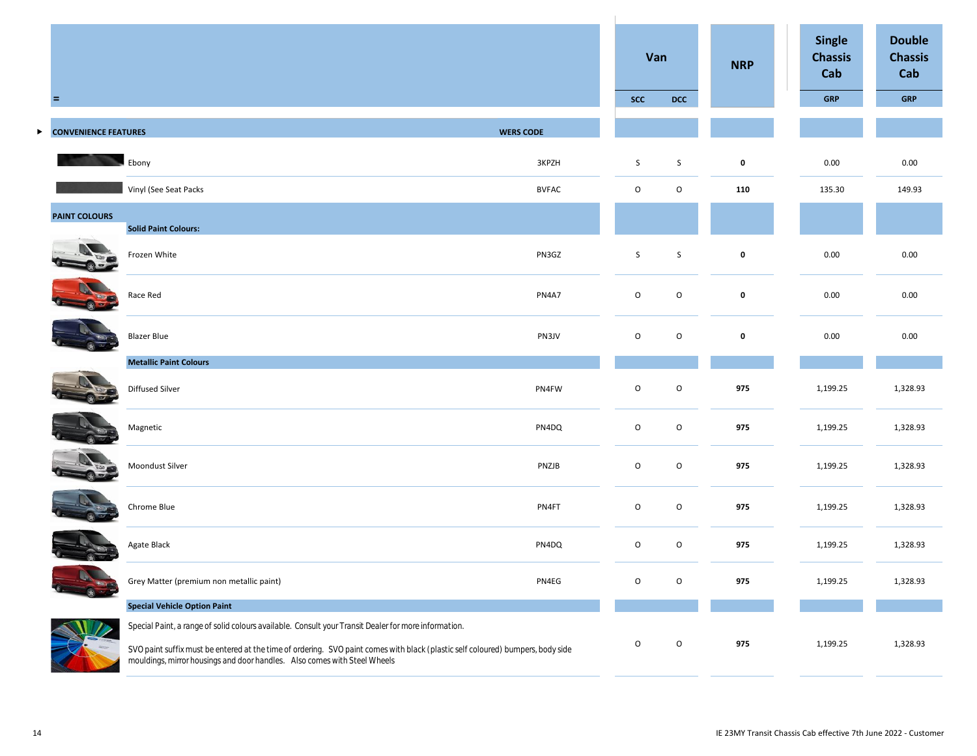|   |                             |                                                                                                                                                                                                                                                                                                                       |                  | Van         |             | <b>NRP</b>  | <b>Single</b><br><b>Chassis</b><br>Cab | <b>Double</b><br><b>Chassis</b><br>Cab |
|---|-----------------------------|-----------------------------------------------------------------------------------------------------------------------------------------------------------------------------------------------------------------------------------------------------------------------------------------------------------------------|------------------|-------------|-------------|-------------|----------------------------------------|----------------------------------------|
|   | Ξ                           |                                                                                                                                                                                                                                                                                                                       |                  | <b>SCC</b>  | <b>DCC</b>  |             | <b>GRP</b>                             | <b>GRP</b>                             |
| ▶ | <b>CONVENIENCE FEATURES</b> |                                                                                                                                                                                                                                                                                                                       | <b>WERS CODE</b> |             |             |             |                                        |                                        |
|   |                             | Ebony                                                                                                                                                                                                                                                                                                                 | 3KPZH            | S           | S           | $\pmb{0}$   | 0.00                                   | 0.00                                   |
|   |                             | Vinyl (See Seat Packs                                                                                                                                                                                                                                                                                                 | <b>BVFAC</b>     | $\mathsf O$ | O           | 110         | 135.30                                 | 149.93                                 |
|   | <b>PAINT COLOURS</b>        | <b>Solid Paint Colours:</b>                                                                                                                                                                                                                                                                                           |                  |             |             |             |                                        |                                        |
|   |                             | Frozen White                                                                                                                                                                                                                                                                                                          | PN3GZ            | $\mathsf S$ | $\mathsf S$ | $\mathbf 0$ | 0.00                                   | 0.00                                   |
|   |                             | Race Red                                                                                                                                                                                                                                                                                                              | PN4A7            | $\mathsf O$ | $\mathsf O$ | $\pmb{0}$   | 0.00                                   | 0.00                                   |
|   |                             | <b>Blazer Blue</b>                                                                                                                                                                                                                                                                                                    | PN3JV            | $\mathsf O$ | $\mathsf O$ | $\pmb{0}$   | 0.00                                   | 0.00                                   |
|   |                             | <b>Metallic Paint Colours</b>                                                                                                                                                                                                                                                                                         |                  |             |             |             |                                        |                                        |
|   |                             | Diffused Silver                                                                                                                                                                                                                                                                                                       | PN4FW            | $\mathsf O$ | $\mathsf O$ | 975         | 1,199.25                               | 1,328.93                               |
|   |                             | Magnetic                                                                                                                                                                                                                                                                                                              | PN4DQ            | $\mathsf O$ | $\mathsf O$ | 975         | 1,199.25                               | 1,328.93                               |
|   |                             | Moondust Silver                                                                                                                                                                                                                                                                                                       | PNZJB            | $\mathsf O$ | $\mathsf O$ | 975         | 1,199.25                               | 1,328.93                               |
|   |                             | Chrome Blue                                                                                                                                                                                                                                                                                                           | PN4FT            | $\mathsf O$ | O           | 975         | 1,199.25                               | 1,328.93                               |
|   |                             | Agate Black                                                                                                                                                                                                                                                                                                           | PN4DQ            | $\mathsf O$ | O           | 975         | 1,199.25                               | 1,328.93                               |
|   |                             | Grey Matter (premium non metallic paint)                                                                                                                                                                                                                                                                              | PN4EG            | $\circ$     | O           | 975         | 1,199.25                               | 1,328.93                               |
|   |                             | <b>Special Vehicle Option Paint</b>                                                                                                                                                                                                                                                                                   |                  |             |             |             |                                        |                                        |
|   |                             | Special Paint, a range of solid colours available. Consult your Transit Dealer for more information.<br>SVO paint suffix must be entered at the time of ordering. SVO paint comes with black (plastic self coloured) bumpers, body side<br>mouldings, mirror housings and door handles.  Also comes with Steel Wheels |                  | O           | $\mathsf O$ | 975         | 1,199.25                               | 1,328.93                               |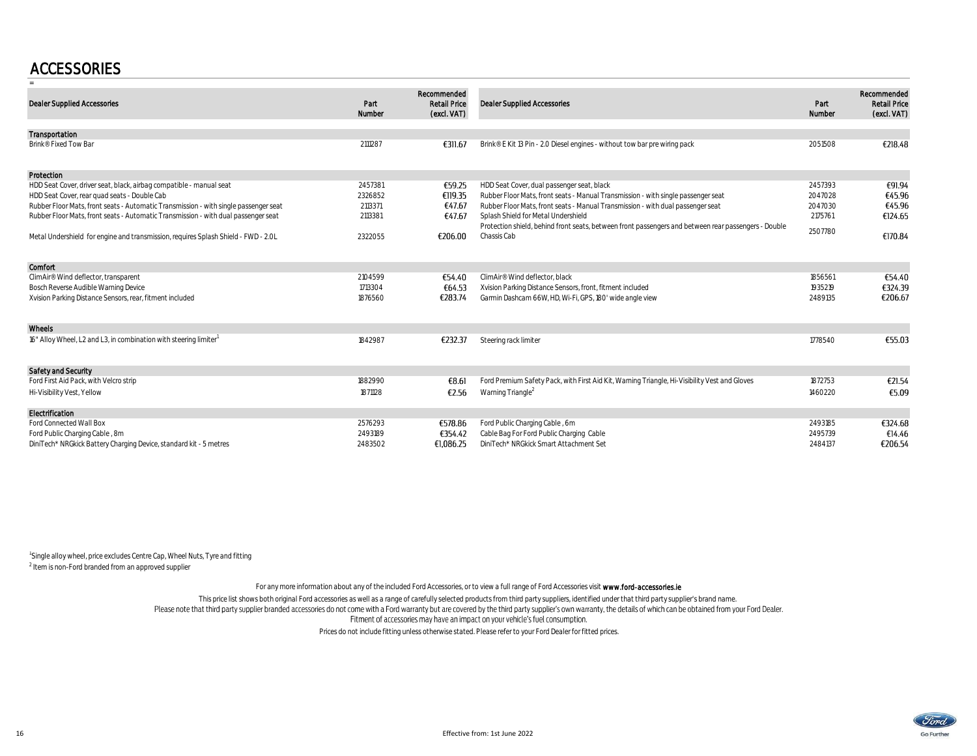### **ACCESSORIES**

| <b>Dealer Supplied Accessories</b>                                                   | Part<br>Number | Recommended<br><b>Retail Price</b><br>(excl. VAT) | <b>Dealer Supplied Accessories</b>                                                                   | Part<br>Number | Recommended<br><b>Retail Price</b><br>(excl. VAT) |
|--------------------------------------------------------------------------------------|----------------|---------------------------------------------------|------------------------------------------------------------------------------------------------------|----------------|---------------------------------------------------|
| Transportation                                                                       |                |                                                   |                                                                                                      |                |                                                   |
| Brink® Fixed Tow Bar                                                                 | 2111287        | €311.67                                           | Brink® E Kit 13 Pin - 2.0 Diesel engines - without tow bar pre wiring pack                           | 2051508        | €218.48                                           |
| Protection                                                                           |                |                                                   |                                                                                                      |                |                                                   |
| HDD Seat Cover, driver seat, black, airbag compatible - manual seat                  | 2457381        | €59.25                                            | HDD Seat Cover, dual passenger seat, black                                                           | 2457393        | €91.94                                            |
| HDD Seat Cover, rear quad seats - Double Cab                                         | 2326852        | €119.35                                           | Rubber Floor Mats, front seats - Manual Transmission - with single passenger seat                    | 2047028        | €45.96                                            |
| Rubber Floor Mats, front seats - Automatic Transmission - with single passenger seat | 2113371        | €47.67                                            | Rubber Floor Mats, front seats - Manual Transmission - with dual passenger seat                      | 2047030        | €45.96                                            |
| Rubber Floor Mats, front seats - Automatic Transmission - with dual passenger seat   | 2113381        | €47.67                                            | Splash Shield for Metal Undershield                                                                  | 2175761        | €124.65                                           |
|                                                                                      |                |                                                   | Protection shield, behind front seats, between front passengers and between rear passengers - Double | 2507780        |                                                   |
| Metal Undershield for engine and transmission, requires Splash Shield - FWD - 2.0L   | 2322055        | €206.00                                           | Chassis Cab                                                                                          |                | €170.84                                           |
| Comfort                                                                              |                |                                                   |                                                                                                      |                |                                                   |
| ClimAir® Wind deflector, transparent                                                 | 2104599        | €54.40                                            | ClimAir® Wind deflector, black                                                                       | 1856561        | €54.40                                            |
| Bosch Reverse Audible Warning Device                                                 | 1713304        | €64.53                                            | Xvision Parking Distance Sensors, front, fitment included                                            | 1935219        | €324.39                                           |
| Xvision Parking Distance Sensors, rear, fitment included                             | 1876560        | €283.74                                           | Garmin Dashcam 66W, HD, Wi-Fi, GPS, 180' wide angle view                                             | 2489135        | €206.67                                           |
| Wheels                                                                               |                |                                                   |                                                                                                      |                |                                                   |
| 16" Alloy Wheel, L2 and L3, in combination with steering limiter <sup>1</sup>        | 1842987        | €232.37                                           | Steering rack limiter                                                                                | 1778540        | €55.03                                            |
| <b>Safety and Security</b>                                                           |                |                                                   |                                                                                                      |                |                                                   |
| Ford First Aid Pack, with Velcro strip                                               | 1882990        | €8.61                                             | Ford Premium Safety Pack, with First Aid Kit, Warning Triangle, Hi-Visibility Vest and Gloves        | 1872753        | €21.54                                            |
| Hi-Visibility Vest, Yellow                                                           | 1871128        | €2.56                                             | Warning Triangle <sup>2</sup>                                                                        | 1460220        | €5.09                                             |
| Electrification                                                                      |                |                                                   |                                                                                                      |                |                                                   |
| Ford Connected Wall Box                                                              | 2576293        | €578.86                                           | Ford Public Charging Cable, 6m                                                                       | 2493185        | €324.68                                           |
| Ford Public Charging Cable, 8m                                                       | 2493189        | €354.42                                           | Cable Bag For Ford Public Charging Cable                                                             | 2495739        | €14.46                                            |
| DiniTech* NRGkick Battery Charging Device, standard kit - 5 metres                   | 2483502        | €1,086.25                                         | DiniTech* NRGkick Smart Attachment Set                                                               | 2484137        | €206.54                                           |

 $1$ Single alloy wheel, price excludes Centre Cap, Wheel Nuts, Tyre and fitting <sup>2</sup> Item is non-Ford branded from an approved supplier

For any more information about any of the included Ford Accessories, or to view a full range of Ford Accessories visit www.ford-accessories.ie

This price list shows both original Ford accessories as well as a range of carefully selected products from third party suppliers, identified under that third party supplier's brand name.<br>Fitment of accessories may have an

Prices do not include fitting unless otherwise stated. Please refer to your Ford Dealer for fitted prices.